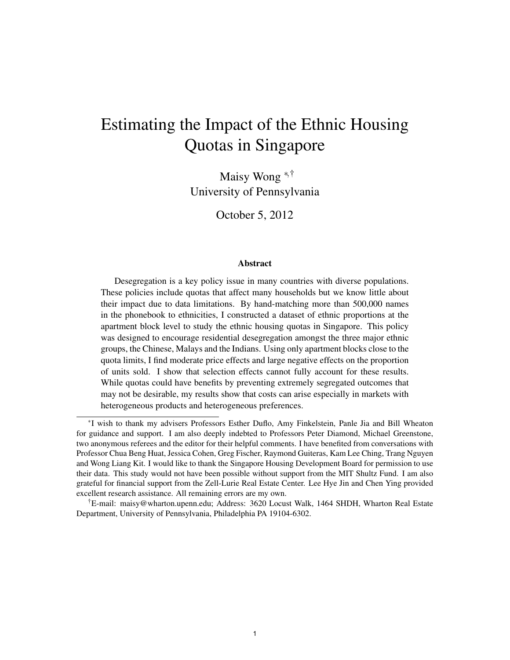# Estimating the Impact of the Ethnic Housing Quotas in Singapore

Maisy Wong <sup>∗</sup>,† University of Pennsylvania

October 5, 2012

#### Abstract

Desegregation is a key policy issue in many countries with diverse populations. These policies include quotas that affect many households but we know little about their impact due to data limitations. By hand-matching more than 500,000 names in the phonebook to ethnicities, I constructed a dataset of ethnic proportions at the apartment block level to study the ethnic housing quotas in Singapore. This policy was designed to encourage residential desegregation amongst the three major ethnic groups, the Chinese, Malays and the Indians. Using only apartment blocks close to the quota limits, I find moderate price effects and large negative effects on the proportion of units sold. I show that selection effects cannot fully account for these results. While quotas could have benefits by preventing extremely segregated outcomes that may not be desirable, my results show that costs can arise especially in markets with heterogeneous products and heterogeneous preferences.

<sup>∗</sup> I wish to thank my advisers Professors Esther Duflo, Amy Finkelstein, Panle Jia and Bill Wheaton for guidance and support. I am also deeply indebted to Professors Peter Diamond, Michael Greenstone, two anonymous referees and the editor for their helpful comments. I have benefited from conversations with Professor Chua Beng Huat, Jessica Cohen, Greg Fischer, Raymond Guiteras, Kam Lee Ching, Trang Nguyen and Wong Liang Kit. I would like to thank the Singapore Housing Development Board for permission to use their data. This study would not have been possible without support from the MIT Shultz Fund. I am also grateful for financial support from the Zell-Lurie Real Estate Center. Lee Hye Jin and Chen Ying provided excellent research assistance. All remaining errors are my own.

<sup>†</sup>E-mail: maisy@wharton.upenn.edu; Address: 3620 Locust Walk, 1464 SHDH, Wharton Real Estate Department, University of Pennsylvania, Philadelphia PA 19104-6302.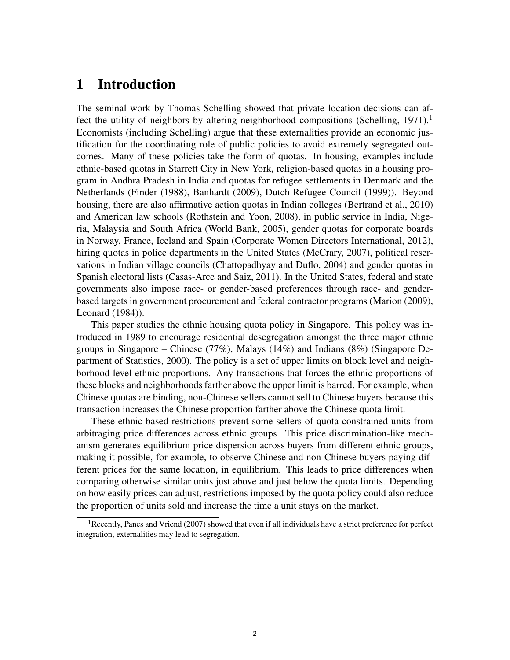# 1 Introduction

The seminal work by Thomas Schelling showed that private location decisions can affect the utility of neighbors by altering neighborhood compositions (Schelling, 1971).<sup>1</sup> Economists (including Schelling) argue that these externalities provide an economic justification for the coordinating role of public policies to avoid extremely segregated outcomes. Many of these policies take the form of quotas. In housing, examples include ethnic-based quotas in Starrett City in New York, religion-based quotas in a housing program in Andhra Pradesh in India and quotas for refugee settlements in Denmark and the Netherlands (Finder (1988), Banhardt (2009), Dutch Refugee Council (1999)). Beyond housing, there are also affirmative action quotas in Indian colleges (Bertrand et al., 2010) and American law schools (Rothstein and Yoon, 2008), in public service in India, Nigeria, Malaysia and South Africa (World Bank, 2005), gender quotas for corporate boards in Norway, France, Iceland and Spain (Corporate Women Directors International, 2012), hiring quotas in police departments in the United States (McCrary, 2007), political reservations in Indian village councils (Chattopadhyay and Duflo, 2004) and gender quotas in Spanish electoral lists (Casas-Arce and Saiz, 2011). In the United States, federal and state governments also impose race- or gender-based preferences through race- and genderbased targets in government procurement and federal contractor programs (Marion (2009), Leonard (1984)).

This paper studies the ethnic housing quota policy in Singapore. This policy was introduced in 1989 to encourage residential desegregation amongst the three major ethnic groups in Singapore – Chinese (77%), Malays (14%) and Indians (8%) (Singapore Department of Statistics, 2000). The policy is a set of upper limits on block level and neighborhood level ethnic proportions. Any transactions that forces the ethnic proportions of these blocks and neighborhoods farther above the upper limit is barred. For example, when Chinese quotas are binding, non-Chinese sellers cannot sell to Chinese buyers because this transaction increases the Chinese proportion farther above the Chinese quota limit.

These ethnic-based restrictions prevent some sellers of quota-constrained units from arbitraging price differences across ethnic groups. This price discrimination-like mechanism generates equilibrium price dispersion across buyers from different ethnic groups, making it possible, for example, to observe Chinese and non-Chinese buyers paying different prices for the same location, in equilibrium. This leads to price differences when comparing otherwise similar units just above and just below the quota limits. Depending on how easily prices can adjust, restrictions imposed by the quota policy could also reduce the proportion of units sold and increase the time a unit stays on the market.

<sup>&</sup>lt;sup>1</sup>Recently, Pancs and Vriend (2007) showed that even if all individuals have a strict preference for perfect integration, externalities may lead to segregation.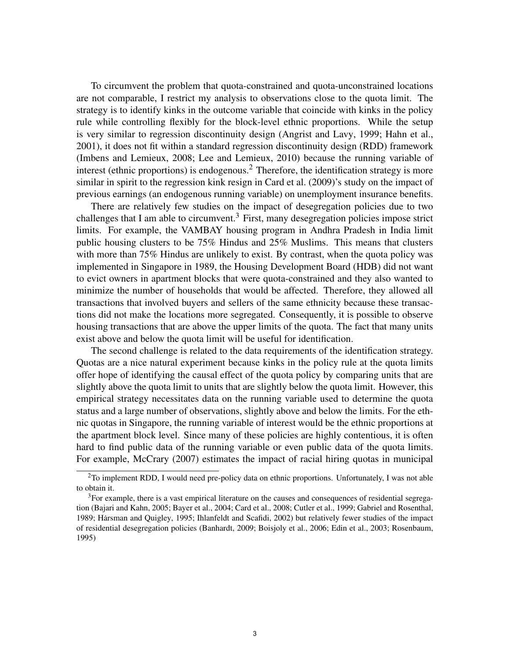To circumvent the problem that quota-constrained and quota-unconstrained locations are not comparable, I restrict my analysis to observations close to the quota limit. The strategy is to identify kinks in the outcome variable that coincide with kinks in the policy rule while controlling flexibly for the block-level ethnic proportions. While the setup is very similar to regression discontinuity design (Angrist and Lavy, 1999; Hahn et al., 2001), it does not fit within a standard regression discontinuity design (RDD) framework (Imbens and Lemieux, 2008; Lee and Lemieux, 2010) because the running variable of interest (ethnic proportions) is endogenous.<sup>2</sup> Therefore, the identification strategy is more similar in spirit to the regression kink resign in Card et al. (2009)'s study on the impact of previous earnings (an endogenous running variable) on unemployment insurance benefits.

There are relatively few studies on the impact of desegregation policies due to two challenges that I am able to circumvent.<sup>3</sup> First, many desegregation policies impose strict limits. For example, the VAMBAY housing program in Andhra Pradesh in India limit public housing clusters to be 75% Hindus and 25% Muslims. This means that clusters with more than 75% Hindus are unlikely to exist. By contrast, when the quota policy was implemented in Singapore in 1989, the Housing Development Board (HDB) did not want to evict owners in apartment blocks that were quota-constrained and they also wanted to minimize the number of households that would be affected. Therefore, they allowed all transactions that involved buyers and sellers of the same ethnicity because these transactions did not make the locations more segregated. Consequently, it is possible to observe housing transactions that are above the upper limits of the quota. The fact that many units exist above and below the quota limit will be useful for identification.

The second challenge is related to the data requirements of the identification strategy. Quotas are a nice natural experiment because kinks in the policy rule at the quota limits offer hope of identifying the causal effect of the quota policy by comparing units that are slightly above the quota limit to units that are slightly below the quota limit. However, this empirical strategy necessitates data on the running variable used to determine the quota status and a large number of observations, slightly above and below the limits. For the ethnic quotas in Singapore, the running variable of interest would be the ethnic proportions at the apartment block level. Since many of these policies are highly contentious, it is often hard to find public data of the running variable or even public data of the quota limits. For example, McCrary (2007) estimates the impact of racial hiring quotas in municipal

<sup>&</sup>lt;sup>2</sup>To implement RDD, I would need pre-policy data on ethnic proportions. Unfortunately, I was not able to obtain it.

 $3$ For example, there is a vast empirical literature on the causes and consequences of residential segregation (Bajari and Kahn, 2005; Bayer et al., 2004; Card et al., 2008; Cutler et al., 1999; Gabriel and Rosenthal, 1989; Harsman and Quigley, 1995; Ihlanfeldt and Scafidi, 2002) but relatively fewer studies of the impact ˙ of residential desegregation policies (Banhardt, 2009; Boisjoly et al., 2006; Edin et al., 2003; Rosenbaum, 1995)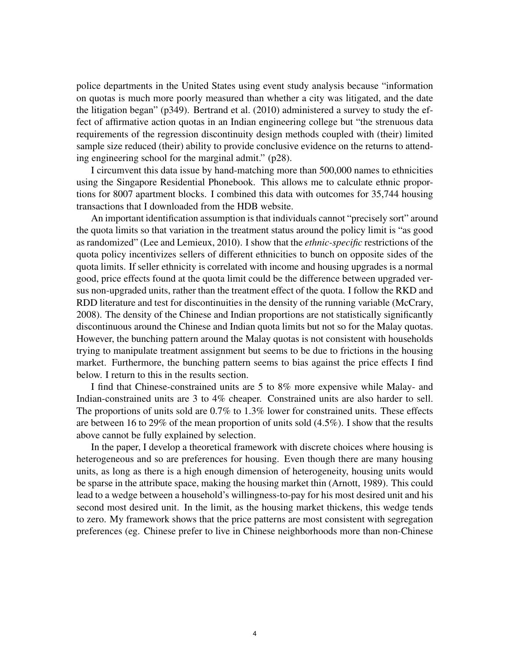police departments in the United States using event study analysis because "information on quotas is much more poorly measured than whether a city was litigated, and the date the litigation began" (p349). Bertrand et al. (2010) administered a survey to study the effect of affirmative action quotas in an Indian engineering college but "the strenuous data requirements of the regression discontinuity design methods coupled with (their) limited sample size reduced (their) ability to provide conclusive evidence on the returns to attending engineering school for the marginal admit." (p28).

I circumvent this data issue by hand-matching more than 500,000 names to ethnicities using the Singapore Residential Phonebook. This allows me to calculate ethnic proportions for 8007 apartment blocks. I combined this data with outcomes for 35,744 housing transactions that I downloaded from the HDB website.

An important identification assumption is that individuals cannot "precisely sort" around the quota limits so that variation in the treatment status around the policy limit is "as good as randomized" (Lee and Lemieux, 2010). I show that the *ethnic-specific* restrictions of the quota policy incentivizes sellers of different ethnicities to bunch on opposite sides of the quota limits. If seller ethnicity is correlated with income and housing upgrades is a normal good, price effects found at the quota limit could be the difference between upgraded versus non-upgraded units, rather than the treatment effect of the quota. I follow the RKD and RDD literature and test for discontinuities in the density of the running variable (McCrary, 2008). The density of the Chinese and Indian proportions are not statistically significantly discontinuous around the Chinese and Indian quota limits but not so for the Malay quotas. However, the bunching pattern around the Malay quotas is not consistent with households trying to manipulate treatment assignment but seems to be due to frictions in the housing market. Furthermore, the bunching pattern seems to bias against the price effects I find below. I return to this in the results section.

I find that Chinese-constrained units are 5 to 8% more expensive while Malay- and Indian-constrained units are 3 to 4% cheaper. Constrained units are also harder to sell. The proportions of units sold are 0.7% to 1.3% lower for constrained units. These effects are between 16 to 29% of the mean proportion of units sold (4.5%). I show that the results above cannot be fully explained by selection.

In the paper, I develop a theoretical framework with discrete choices where housing is heterogeneous and so are preferences for housing. Even though there are many housing units, as long as there is a high enough dimension of heterogeneity, housing units would be sparse in the attribute space, making the housing market thin (Arnott, 1989). This could lead to a wedge between a household's willingness-to-pay for his most desired unit and his second most desired unit. In the limit, as the housing market thickens, this wedge tends to zero. My framework shows that the price patterns are most consistent with segregation preferences (eg. Chinese prefer to live in Chinese neighborhoods more than non-Chinese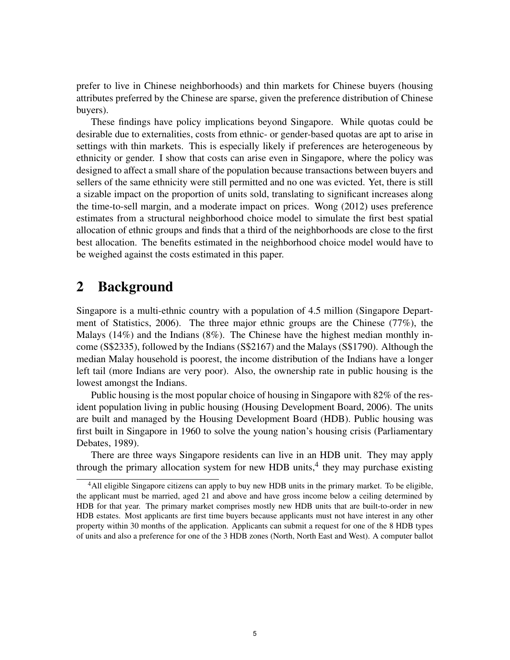prefer to live in Chinese neighborhoods) and thin markets for Chinese buyers (housing attributes preferred by the Chinese are sparse, given the preference distribution of Chinese buyers).

These findings have policy implications beyond Singapore. While quotas could be desirable due to externalities, costs from ethnic- or gender-based quotas are apt to arise in settings with thin markets. This is especially likely if preferences are heterogeneous by ethnicity or gender. I show that costs can arise even in Singapore, where the policy was designed to affect a small share of the population because transactions between buyers and sellers of the same ethnicity were still permitted and no one was evicted. Yet, there is still a sizable impact on the proportion of units sold, translating to significant increases along the time-to-sell margin, and a moderate impact on prices. Wong (2012) uses preference estimates from a structural neighborhood choice model to simulate the first best spatial allocation of ethnic groups and finds that a third of the neighborhoods are close to the first best allocation. The benefits estimated in the neighborhood choice model would have to be weighed against the costs estimated in this paper.

### 2 Background

Singapore is a multi-ethnic country with a population of 4.5 million (Singapore Department of Statistics, 2006). The three major ethnic groups are the Chinese (77%), the Malays  $(14%)$  and the Indians  $(8%)$ . The Chinese have the highest median monthly income (S\$2335), followed by the Indians (S\$2167) and the Malays (S\$1790). Although the median Malay household is poorest, the income distribution of the Indians have a longer left tail (more Indians are very poor). Also, the ownership rate in public housing is the lowest amongst the Indians.

Public housing is the most popular choice of housing in Singapore with 82% of the resident population living in public housing (Housing Development Board, 2006). The units are built and managed by the Housing Development Board (HDB). Public housing was first built in Singapore in 1960 to solve the young nation's housing crisis (Parliamentary Debates, 1989).

There are three ways Singapore residents can live in an HDB unit. They may apply through the primary allocation system for new HDB units, $4$  they may purchase existing

<sup>&</sup>lt;sup>4</sup>All eligible Singapore citizens can apply to buy new HDB units in the primary market. To be eligible, the applicant must be married, aged 21 and above and have gross income below a ceiling determined by HDB for that year. The primary market comprises mostly new HDB units that are built-to-order in new HDB estates. Most applicants are first time buyers because applicants must not have interest in any other property within 30 months of the application. Applicants can submit a request for one of the 8 HDB types of units and also a preference for one of the 3 HDB zones (North, North East and West). A computer ballot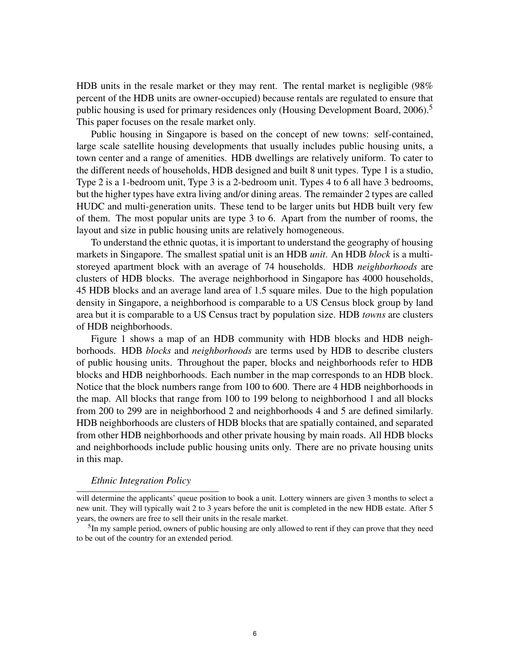HDB units in the resale market or they may rent. The rental market is negligible (98% percent of the HDB units are owner-occupied) because rentals are regulated to ensure that public housing is used for primary residences only (Housing Development Board, 2006).<sup>5</sup> This paper focuses on the resale market only.

Public housing in Singapore is based on the concept of new towns: self-contained, large scale satellite housing developments that usually includes public housing units, a town center and a range of amenities. HDB dwellings are relatively uniform. To cater to the different needs of households, HDB designed and built 8 unit types. Type 1 is a studio, Type 2 is a 1-bedroom unit, Type 3 is a 2-bedroom unit. Types 4 to 6 all have 3 bedrooms, but the higher types have extra living and/or dining areas. The remainder 2 types are called HUDC and multi-generation units. These tend to be larger units but HDB built very few of them. The most popular units are type 3 to 6. Apart from the number of rooms, the layout and size in public housing units are relatively homogeneous.

To understand the ethnic quotas, it is important to understand the geography of housing markets in Singapore. The smallest spatial unit is an HDB *unit*. An HDB *block* is a multistoreyed apartment block with an average of 74 households. HDB *neighborhoods* are clusters of HDB blocks. The average neighborhood in Singapore has 4000 households, 45 HDB blocks and an average land area of 1.5 square miles. Due to the high population density in Singapore, a neighborhood is comparable to a US Census block group by land area but it is comparable to a US Census tract by population size. HDB *towns* are clusters of HDB neighborhoods.

Figure 1 shows a map of an HDB community with HDB blocks and HDB neighborhoods. HDB *blocks* and *neighborhoods* are terms used by HDB to describe clusters of public housing units. Throughout the paper, blocks and neighborhoods refer to HDB blocks and HDB neighborhoods. Each number in the map corresponds to an HDB block. Notice that the block numbers range from 100 to 600. There are 4 HDB neighborhoods in the map. All blocks that range from 100 to 199 belong to neighborhood 1 and all blocks from 200 to 299 are in neighborhood 2 and neighborhoods 4 and 5 are defined similarly. HDB neighborhoods are clusters of HDB blocks that are spatially contained, and separated from other HDB neighborhoods and other private housing by main roads. All HDB blocks and neighborhoods include public housing units only. There are no private housing units in this map.

### *Ethnic Integration Policy*

will determine the applicants' queue position to book a unit. Lottery winners are given 3 months to select a new unit. They will typically wait 2 to 3 years before the unit is completed in the new HDB estate. After 5 years, the owners are free to sell their units in the resale market.

<sup>&</sup>lt;sup>5</sup>In my sample period, owners of public housing are only allowed to rent if they can prove that they need to be out of the country for an extended period.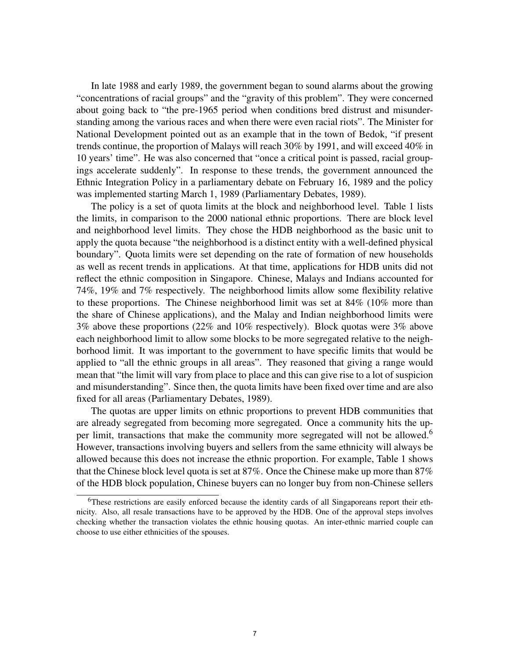In late 1988 and early 1989, the government began to sound alarms about the growing "concentrations of racial groups" and the "gravity of this problem". They were concerned about going back to "the pre-1965 period when conditions bred distrust and misunderstanding among the various races and when there were even racial riots". The Minister for National Development pointed out as an example that in the town of Bedok, "if present trends continue, the proportion of Malays will reach 30% by 1991, and will exceed 40% in 10 years' time". He was also concerned that "once a critical point is passed, racial groupings accelerate suddenly". In response to these trends, the government announced the Ethnic Integration Policy in a parliamentary debate on February 16, 1989 and the policy was implemented starting March 1, 1989 (Parliamentary Debates, 1989).

The policy is a set of quota limits at the block and neighborhood level. Table 1 lists the limits, in comparison to the 2000 national ethnic proportions. There are block level and neighborhood level limits. They chose the HDB neighborhood as the basic unit to apply the quota because "the neighborhood is a distinct entity with a well-defined physical boundary". Quota limits were set depending on the rate of formation of new households as well as recent trends in applications. At that time, applications for HDB units did not reflect the ethnic composition in Singapore. Chinese, Malays and Indians accounted for 74%, 19% and 7% respectively. The neighborhood limits allow some flexibility relative to these proportions. The Chinese neighborhood limit was set at 84% (10% more than the share of Chinese applications), and the Malay and Indian neighborhood limits were 3% above these proportions (22% and 10% respectively). Block quotas were 3% above each neighborhood limit to allow some blocks to be more segregated relative to the neighborhood limit. It was important to the government to have specific limits that would be applied to "all the ethnic groups in all areas". They reasoned that giving a range would mean that "the limit will vary from place to place and this can give rise to a lot of suspicion and misunderstanding". Since then, the quota limits have been fixed over time and are also fixed for all areas (Parliamentary Debates, 1989).

The quotas are upper limits on ethnic proportions to prevent HDB communities that are already segregated from becoming more segregated. Once a community hits the upper limit, transactions that make the community more segregated will not be allowed.<sup>6</sup> However, transactions involving buyers and sellers from the same ethnicity will always be allowed because this does not increase the ethnic proportion. For example, Table 1 shows that the Chinese block level quota is set at 87%. Once the Chinese make up more than 87% of the HDB block population, Chinese buyers can no longer buy from non-Chinese sellers

<sup>6</sup>These restrictions are easily enforced because the identity cards of all Singaporeans report their ethnicity. Also, all resale transactions have to be approved by the HDB. One of the approval steps involves checking whether the transaction violates the ethnic housing quotas. An inter-ethnic married couple can choose to use either ethnicities of the spouses.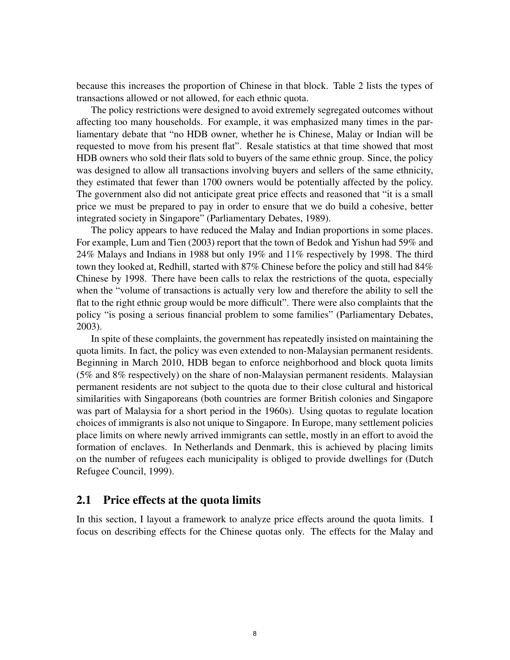because this increases the proportion of Chinese in that block. Table 2 lists the types of transactions allowed or not allowed, for each ethnic quota.

The policy restrictions were designed to avoid extremely segregated outcomes without affecting too many households. For example, it was emphasized many times in the parliamentary debate that "no HDB owner, whether he is Chinese, Malay or Indian will be requested to move from his present flat". Resale statistics at that time showed that most HDB owners who sold their flats sold to buyers of the same ethnic group. Since, the policy was designed to allow all transactions involving buyers and sellers of the same ethnicity, they estimated that fewer than 1700 owners would be potentially affected by the policy. The government also did not anticipate great price effects and reasoned that "it is a small price we must be prepared to pay in order to ensure that we do build a cohesive, better integrated society in Singapore" (Parliamentary Debates, 1989).

The policy appears to have reduced the Malay and Indian proportions in some places. For example, Lum and Tien (2003) report that the town of Bedok and Yishun had 59% and 24% Malays and Indians in 1988 but only 19% and 11% respectively by 1998. The third town they looked at, Redhill, started with 87% Chinese before the policy and still had 84% Chinese by 1998. There have been calls to relax the restrictions of the quota, especially when the "volume of transactions is actually very low and therefore the ability to sell the flat to the right ethnic group would be more difficult". There were also complaints that the policy "is posing a serious financial problem to some families" (Parliamentary Debates, 2003).

In spite of these complaints, the government has repeatedly insisted on maintaining the quota limits. In fact, the policy was even extended to non-Malaysian permanent residents. Beginning in March 2010, HDB began to enforce neighborhood and block quota limits (5% and 8% respectively) on the share of non-Malaysian permanent residents. Malaysian permanent residents are not subject to the quota due to their close cultural and historical similarities with Singaporeans (both countries are former British colonies and Singapore was part of Malaysia for a short period in the 1960s). Using quotas to regulate location choices of immigrants is also not unique to Singapore. In Europe, many settlement policies place limits on where newly arrived immigrants can settle, mostly in an effort to avoid the formation of enclaves. In Netherlands and Denmark, this is achieved by placing limits on the number of refugees each municipality is obliged to provide dwellings for (Dutch Refugee Council, 1999).

### 2.1 Price effects at the quota limits

In this section, I layout a framework to analyze price effects around the quota limits. I focus on describing effects for the Chinese quotas only. The effects for the Malay and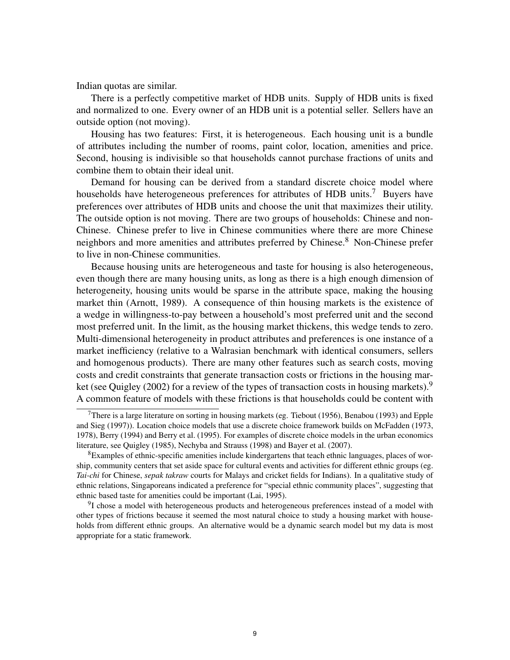Indian quotas are similar.

There is a perfectly competitive market of HDB units. Supply of HDB units is fixed and normalized to one. Every owner of an HDB unit is a potential seller. Sellers have an outside option (not moving).

Housing has two features: First, it is heterogeneous. Each housing unit is a bundle of attributes including the number of rooms, paint color, location, amenities and price. Second, housing is indivisible so that households cannot purchase fractions of units and combine them to obtain their ideal unit.

Demand for housing can be derived from a standard discrete choice model where households have heterogeneous preferences for attributes of HDB units.<sup>7</sup> Buyers have preferences over attributes of HDB units and choose the unit that maximizes their utility. The outside option is not moving. There are two groups of households: Chinese and non-Chinese. Chinese prefer to live in Chinese communities where there are more Chinese neighbors and more amenities and attributes preferred by Chinese.<sup>8</sup> Non-Chinese prefer to live in non-Chinese communities.

Because housing units are heterogeneous and taste for housing is also heterogeneous, even though there are many housing units, as long as there is a high enough dimension of heterogeneity, housing units would be sparse in the attribute space, making the housing market thin (Arnott, 1989). A consequence of thin housing markets is the existence of a wedge in willingness-to-pay between a household's most preferred unit and the second most preferred unit. In the limit, as the housing market thickens, this wedge tends to zero. Multi-dimensional heterogeneity in product attributes and preferences is one instance of a market inefficiency (relative to a Walrasian benchmark with identical consumers, sellers and homogenous products). There are many other features such as search costs, moving costs and credit constraints that generate transaction costs or frictions in the housing market (see Quigley (2002) for a review of the types of transaction costs in housing markets).<sup>9</sup> A common feature of models with these frictions is that households could be content with

<sup>&</sup>lt;sup>7</sup>There is a large literature on sorting in housing markets (eg. Tiebout (1956), Benabou (1993) and Epple and Sieg (1997)). Location choice models that use a discrete choice framework builds on McFadden (1973, 1978), Berry (1994) and Berry et al. (1995). For examples of discrete choice models in the urban economics literature, see Quigley (1985), Nechyba and Strauss (1998) and Bayer et al. (2007).

 ${}^{8}$ Examples of ethnic-specific amenities include kindergartens that teach ethnic languages, places of worship, community centers that set aside space for cultural events and activities for different ethnic groups (eg. *Tai-chi* for Chinese, *sepak takraw* courts for Malays and cricket fields for Indians). In a qualitative study of ethnic relations, Singaporeans indicated a preference for "special ethnic community places", suggesting that ethnic based taste for amenities could be important (Lai, 1995).

<sup>&</sup>lt;sup>9</sup>I chose a model with heterogeneous products and heterogeneous preferences instead of a model with other types of frictions because it seemed the most natural choice to study a housing market with households from different ethnic groups. An alternative would be a dynamic search model but my data is most appropriate for a static framework.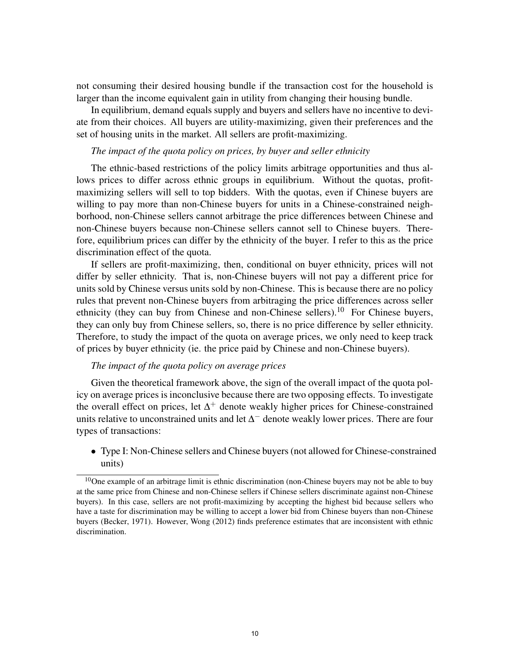not consuming their desired housing bundle if the transaction cost for the household is larger than the income equivalent gain in utility from changing their housing bundle.

In equilibrium, demand equals supply and buyers and sellers have no incentive to deviate from their choices. All buyers are utility-maximizing, given their preferences and the set of housing units in the market. All sellers are profit-maximizing.

### *The impact of the quota policy on prices, by buyer and seller ethnicity*

The ethnic-based restrictions of the policy limits arbitrage opportunities and thus allows prices to differ across ethnic groups in equilibrium. Without the quotas, profitmaximizing sellers will sell to top bidders. With the quotas, even if Chinese buyers are willing to pay more than non-Chinese buyers for units in a Chinese-constrained neighborhood, non-Chinese sellers cannot arbitrage the price differences between Chinese and non-Chinese buyers because non-Chinese sellers cannot sell to Chinese buyers. Therefore, equilibrium prices can differ by the ethnicity of the buyer. I refer to this as the price discrimination effect of the quota.

If sellers are profit-maximizing, then, conditional on buyer ethnicity, prices will not differ by seller ethnicity. That is, non-Chinese buyers will not pay a different price for units sold by Chinese versus units sold by non-Chinese. This is because there are no policy rules that prevent non-Chinese buyers from arbitraging the price differences across seller ethnicity (they can buy from Chinese and non-Chinese sellers).<sup>10</sup> For Chinese buyers, they can only buy from Chinese sellers, so, there is no price difference by seller ethnicity. Therefore, to study the impact of the quota on average prices, we only need to keep track of prices by buyer ethnicity (ie. the price paid by Chinese and non-Chinese buyers).

### *The impact of the quota policy on average prices*

Given the theoretical framework above, the sign of the overall impact of the quota policy on average prices is inconclusive because there are two opposing effects. To investigate the overall effect on prices, let  $\Delta^+$  denote weakly higher prices for Chinese-constrained units relative to unconstrained units and let  $\Delta^-$  denote weakly lower prices. There are four types of transactions:

• Type I: Non-Chinese sellers and Chinese buyers (not allowed for Chinese-constrained units)

<sup>&</sup>lt;sup>10</sup>One example of an arbitrage limit is ethnic discrimination (non-Chinese buyers may not be able to buy at the same price from Chinese and non-Chinese sellers if Chinese sellers discriminate against non-Chinese buyers). In this case, sellers are not profit-maximizing by accepting the highest bid because sellers who have a taste for discrimination may be willing to accept a lower bid from Chinese buyers than non-Chinese buyers (Becker, 1971). However, Wong (2012) finds preference estimates that are inconsistent with ethnic discrimination.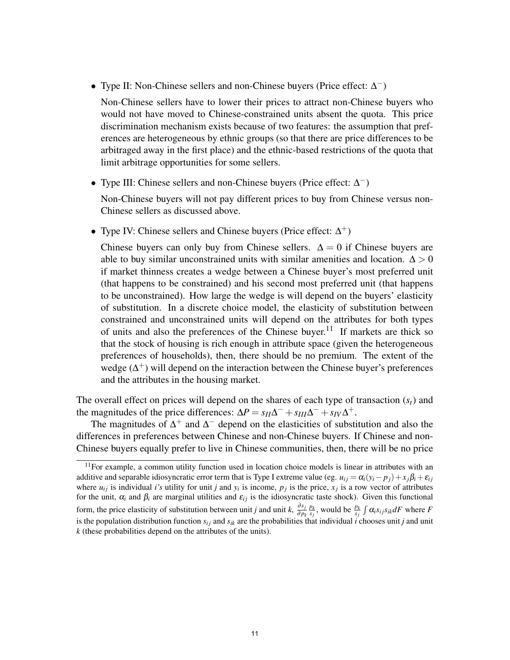• Type II: Non-Chinese sellers and non-Chinese buyers (Price effect: ∆ −)

Non-Chinese sellers have to lower their prices to attract non-Chinese buyers who would not have moved to Chinese-constrained units absent the quota. This price discrimination mechanism exists because of two features: the assumption that preferences are heterogeneous by ethnic groups (so that there are price differences to be arbitraged away in the first place) and the ethnic-based restrictions of the quota that limit arbitrage opportunities for some sellers.

• Type III: Chinese sellers and non-Chinese buyers (Price effect: ∆ −)

Non-Chinese buyers will not pay different prices to buy from Chinese versus non-Chinese sellers as discussed above.

• Type IV: Chinese sellers and Chinese buyers (Price effect:  $\Delta^+$ )

Chinese buyers can only buy from Chinese sellers.  $\Delta = 0$  if Chinese buyers are able to buy similar unconstrained units with similar amenities and location.  $\Delta > 0$ if market thinness creates a wedge between a Chinese buyer's most preferred unit (that happens to be constrained) and his second most preferred unit (that happens to be unconstrained). How large the wedge is will depend on the buyers' elasticity of substitution. In a discrete choice model, the elasticity of substitution between constrained and unconstrained units will depend on the attributes for both types of units and also the preferences of the Chinese buyer.<sup>11</sup> If markets are thick so that the stock of housing is rich enough in attribute space (given the heterogeneous preferences of households), then, there should be no premium. The extent of the wedge  $(\Delta^+)$  will depend on the interaction between the Chinese buyer's preferences and the attributes in the housing market.

The overall effect on prices will depend on the shares of each type of transaction (*st*) and the magnitudes of the price differences:  $\Delta P = s_{II} \Delta^{-} + s_{III} \Delta^{-} + s_{IV} \Delta^{+}$ .

The magnitudes of  $\Delta^+$  and  $\Delta^-$  depend on the elasticities of substitution and also the differences in preferences between Chinese and non-Chinese buyers. If Chinese and non-Chinese buyers equally prefer to live in Chinese communities, then, there will be no price

 $11$ For example, a common utility function used in location choice models is linear in attributes with an additive and separable idiosyncratic error term that is Type I extreme value (eg.  $u_{ij} = \alpha_i(y_i - p_j) + x_j\beta_i + \varepsilon_{ij}$ where  $u_{ij}$  is individual *i's* utility for unit *j* and  $y_i$  is income,  $p_j$  is the price,  $x_j$  is a row vector of attributes for the unit,  $\alpha_i$  and  $\beta_i$  are marginal utilities and  $\varepsilon_{ij}$  is the idiosyncratic taste shock). Given this functional form, the price elasticity of substitution between unit *j* and unit *k*,  $\frac{\partial s_j}{\partial n}$ ∂ *p<sup>k</sup>*  $\frac{p_k}{s_j}$ , would be  $\frac{p_k}{s_j} \int \alpha_i s_{ij} s_{ik} dF$  where *F* is the population distribution function  $s_{ij}$  and  $s_{ik}$  are the probabilities that individual *i* chooses unit *j* and unit *k* (these probabilities depend on the attributes of the units).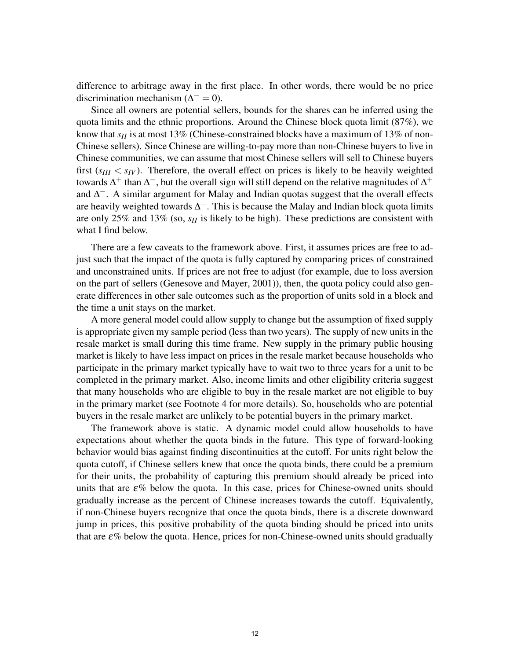difference to arbitrage away in the first place. In other words, there would be no price discrimination mechanism ( $\Delta^- = 0$ ).

Since all owners are potential sellers, bounds for the shares can be inferred using the quota limits and the ethnic proportions. Around the Chinese block quota limit (87%), we know that *s<sub>II</sub>* is at most 13% (Chinese-constrained blocks have a maximum of 13% of non-Chinese sellers). Since Chinese are willing-to-pay more than non-Chinese buyers to live in Chinese communities, we can assume that most Chinese sellers will sell to Chinese buyers first  $(s_{III} < s_{IV})$ . Therefore, the overall effect on prices is likely to be heavily weighted towards  $\Delta^+$  than  $\Delta^-$ , but the overall sign will still depend on the relative magnitudes of  $\Delta^+$ and  $\Delta^-$ . A similar argument for Malay and Indian quotas suggest that the overall effects are heavily weighted towards  $\Delta^{-}$ . This is because the Malay and Indian block quota limits are only 25% and 13% (so, *sII* is likely to be high). These predictions are consistent with what I find below.

There are a few caveats to the framework above. First, it assumes prices are free to adjust such that the impact of the quota is fully captured by comparing prices of constrained and unconstrained units. If prices are not free to adjust (for example, due to loss aversion on the part of sellers (Genesove and Mayer, 2001)), then, the quota policy could also generate differences in other sale outcomes such as the proportion of units sold in a block and the time a unit stays on the market.

A more general model could allow supply to change but the assumption of fixed supply is appropriate given my sample period (less than two years). The supply of new units in the resale market is small during this time frame. New supply in the primary public housing market is likely to have less impact on prices in the resale market because households who participate in the primary market typically have to wait two to three years for a unit to be completed in the primary market. Also, income limits and other eligibility criteria suggest that many households who are eligible to buy in the resale market are not eligible to buy in the primary market (see Footnote 4 for more details). So, households who are potential buyers in the resale market are unlikely to be potential buyers in the primary market.

The framework above is static. A dynamic model could allow households to have expectations about whether the quota binds in the future. This type of forward-looking behavior would bias against finding discontinuities at the cutoff. For units right below the quota cutoff, if Chinese sellers knew that once the quota binds, there could be a premium for their units, the probability of capturing this premium should already be priced into units that are  $\varepsilon\%$  below the quota. In this case, prices for Chinese-owned units should gradually increase as the percent of Chinese increases towards the cutoff. Equivalently, if non-Chinese buyers recognize that once the quota binds, there is a discrete downward jump in prices, this positive probability of the quota binding should be priced into units that are  $\varepsilon\%$  below the quota. Hence, prices for non-Chinese-owned units should gradually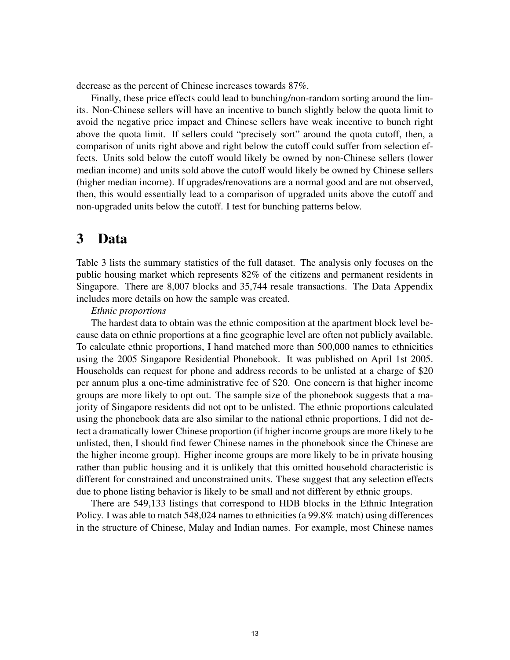decrease as the percent of Chinese increases towards 87%.

Finally, these price effects could lead to bunching/non-random sorting around the limits. Non-Chinese sellers will have an incentive to bunch slightly below the quota limit to avoid the negative price impact and Chinese sellers have weak incentive to bunch right above the quota limit. If sellers could "precisely sort" around the quota cutoff, then, a comparison of units right above and right below the cutoff could suffer from selection effects. Units sold below the cutoff would likely be owned by non-Chinese sellers (lower median income) and units sold above the cutoff would likely be owned by Chinese sellers (higher median income). If upgrades/renovations are a normal good and are not observed, then, this would essentially lead to a comparison of upgraded units above the cutoff and non-upgraded units below the cutoff. I test for bunching patterns below.

### 3 Data

Table 3 lists the summary statistics of the full dataset. The analysis only focuses on the public housing market which represents 82% of the citizens and permanent residents in Singapore. There are 8,007 blocks and 35,744 resale transactions. The Data Appendix includes more details on how the sample was created.

### *Ethnic proportions*

The hardest data to obtain was the ethnic composition at the apartment block level because data on ethnic proportions at a fine geographic level are often not publicly available. To calculate ethnic proportions, I hand matched more than 500,000 names to ethnicities using the 2005 Singapore Residential Phonebook. It was published on April 1st 2005. Households can request for phone and address records to be unlisted at a charge of \$20 per annum plus a one-time administrative fee of \$20. One concern is that higher income groups are more likely to opt out. The sample size of the phonebook suggests that a majority of Singapore residents did not opt to be unlisted. The ethnic proportions calculated using the phonebook data are also similar to the national ethnic proportions, I did not detect a dramatically lower Chinese proportion (if higher income groups are more likely to be unlisted, then, I should find fewer Chinese names in the phonebook since the Chinese are the higher income group). Higher income groups are more likely to be in private housing rather than public housing and it is unlikely that this omitted household characteristic is different for constrained and unconstrained units. These suggest that any selection effects due to phone listing behavior is likely to be small and not different by ethnic groups.

There are 549,133 listings that correspond to HDB blocks in the Ethnic Integration Policy. I was able to match 548,024 names to ethnicities (a 99.8% match) using differences in the structure of Chinese, Malay and Indian names. For example, most Chinese names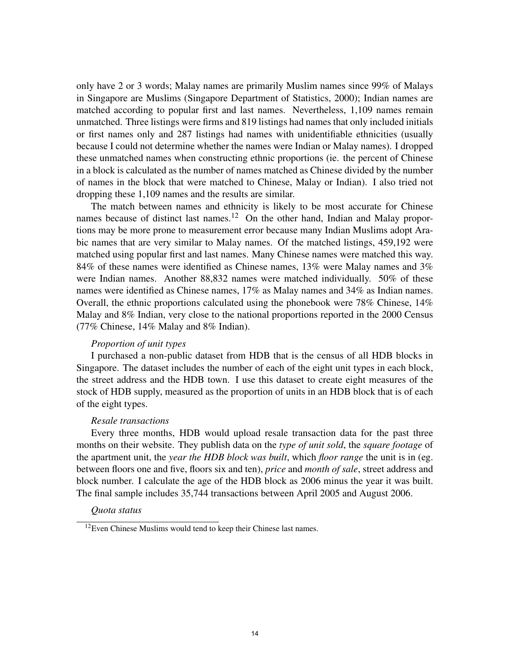only have 2 or 3 words; Malay names are primarily Muslim names since 99% of Malays in Singapore are Muslims (Singapore Department of Statistics, 2000); Indian names are matched according to popular first and last names. Nevertheless, 1,109 names remain unmatched. Three listings were firms and 819 listings had names that only included initials or first names only and 287 listings had names with unidentifiable ethnicities (usually because I could not determine whether the names were Indian or Malay names). I dropped these unmatched names when constructing ethnic proportions (ie. the percent of Chinese in a block is calculated as the number of names matched as Chinese divided by the number of names in the block that were matched to Chinese, Malay or Indian). I also tried not dropping these 1,109 names and the results are similar.

The match between names and ethnicity is likely to be most accurate for Chinese names because of distinct last names.<sup>12</sup> On the other hand, Indian and Malay proportions may be more prone to measurement error because many Indian Muslims adopt Arabic names that are very similar to Malay names. Of the matched listings, 459,192 were matched using popular first and last names. Many Chinese names were matched this way. 84% of these names were identified as Chinese names, 13% were Malay names and 3% were Indian names. Another 88,832 names were matched individually. 50% of these names were identified as Chinese names, 17% as Malay names and 34% as Indian names. Overall, the ethnic proportions calculated using the phonebook were 78% Chinese, 14% Malay and 8% Indian, very close to the national proportions reported in the 2000 Census (77% Chinese, 14% Malay and 8% Indian).

### *Proportion of unit types*

I purchased a non-public dataset from HDB that is the census of all HDB blocks in Singapore. The dataset includes the number of each of the eight unit types in each block, the street address and the HDB town. I use this dataset to create eight measures of the stock of HDB supply, measured as the proportion of units in an HDB block that is of each of the eight types.

### *Resale transactions*

Every three months, HDB would upload resale transaction data for the past three months on their website. They publish data on the *type of unit sold*, the *square footage* of the apartment unit, the *year the HDB block was built*, which *floor range* the unit is in (eg. between floors one and five, floors six and ten), *price* and *month of sale*, street address and block number. I calculate the age of the HDB block as 2006 minus the year it was built. The final sample includes 35,744 transactions between April 2005 and August 2006.

### *Quota status*

<sup>&</sup>lt;sup>12</sup>Even Chinese Muslims would tend to keep their Chinese last names.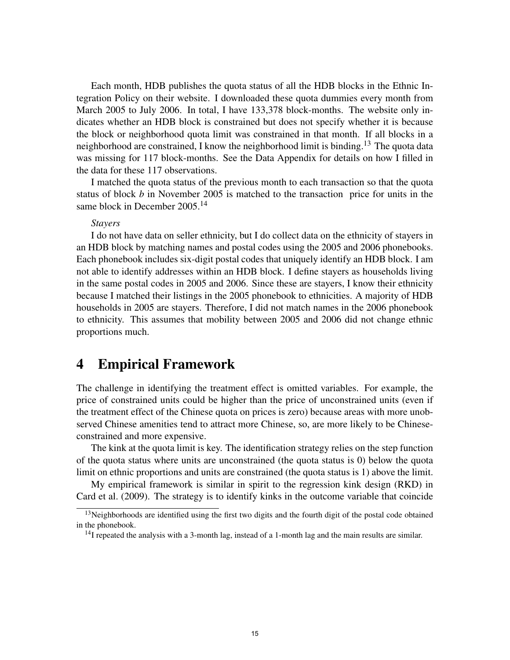Each month, HDB publishes the quota status of all the HDB blocks in the Ethnic Integration Policy on their website. I downloaded these quota dummies every month from March 2005 to July 2006. In total, I have 133,378 block-months. The website only indicates whether an HDB block is constrained but does not specify whether it is because the block or neighborhood quota limit was constrained in that month. If all blocks in a neighborhood are constrained, I know the neighborhood limit is binding.<sup>13</sup> The quota data was missing for 117 block-months. See the Data Appendix for details on how I filled in the data for these 117 observations.

I matched the quota status of the previous month to each transaction so that the quota status of block *b* in November 2005 is matched to the transaction price for units in the same block in December 2005.<sup>14</sup>

### *Stayers*

I do not have data on seller ethnicity, but I do collect data on the ethnicity of stayers in an HDB block by matching names and postal codes using the 2005 and 2006 phonebooks. Each phonebook includes six-digit postal codes that uniquely identify an HDB block. I am not able to identify addresses within an HDB block. I define stayers as households living in the same postal codes in 2005 and 2006. Since these are stayers, I know their ethnicity because I matched their listings in the 2005 phonebook to ethnicities. A majority of HDB households in 2005 are stayers. Therefore, I did not match names in the 2006 phonebook to ethnicity. This assumes that mobility between 2005 and 2006 did not change ethnic proportions much.

### 4 Empirical Framework

The challenge in identifying the treatment effect is omitted variables. For example, the price of constrained units could be higher than the price of unconstrained units (even if the treatment effect of the Chinese quota on prices is zero) because areas with more unobserved Chinese amenities tend to attract more Chinese, so, are more likely to be Chineseconstrained and more expensive.

The kink at the quota limit is key. The identification strategy relies on the step function of the quota status where units are unconstrained (the quota status is 0) below the quota limit on ethnic proportions and units are constrained (the quota status is 1) above the limit.

My empirical framework is similar in spirit to the regression kink design (RKD) in Card et al. (2009). The strategy is to identify kinks in the outcome variable that coincide

<sup>&</sup>lt;sup>13</sup>Neighborhoods are identified using the first two digits and the fourth digit of the postal code obtained in the phonebook.

 $14$ I repeated the analysis with a 3-month lag, instead of a 1-month lag and the main results are similar.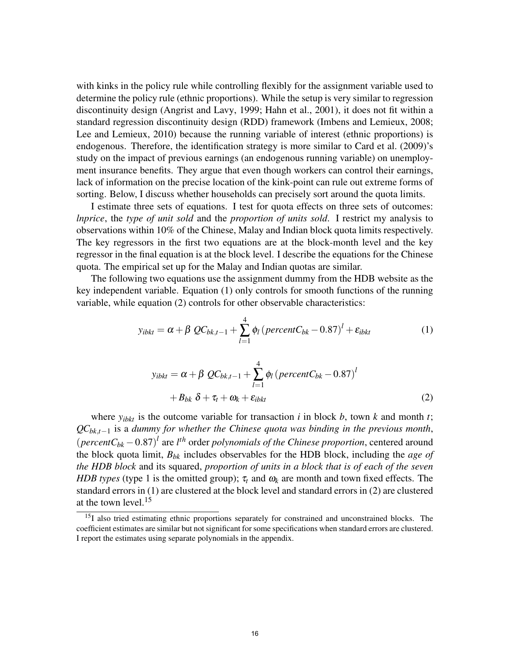with kinks in the policy rule while controlling flexibly for the assignment variable used to determine the policy rule (ethnic proportions). While the setup is very similar to regression discontinuity design (Angrist and Lavy, 1999; Hahn et al., 2001), it does not fit within a standard regression discontinuity design (RDD) framework (Imbens and Lemieux, 2008; Lee and Lemieux, 2010) because the running variable of interest (ethnic proportions) is endogenous. Therefore, the identification strategy is more similar to Card et al. (2009)'s study on the impact of previous earnings (an endogenous running variable) on unemployment insurance benefits. They argue that even though workers can control their earnings, lack of information on the precise location of the kink-point can rule out extreme forms of sorting. Below, I discuss whether households can precisely sort around the quota limits.

I estimate three sets of equations. I test for quota effects on three sets of outcomes: *lnprice*, the *type of unit sold* and the *proportion of units sold*. I restrict my analysis to observations within 10% of the Chinese, Malay and Indian block quota limits respectively. The key regressors in the first two equations are at the block-month level and the key regressor in the final equation is at the block level. I describe the equations for the Chinese quota. The empirical set up for the Malay and Indian quotas are similar.

The following two equations use the assignment dummy from the HDB website as the key independent variable. Equation (1) only controls for smooth functions of the running variable, while equation (2) controls for other observable characteristics:

$$
y_{ibkt} = \alpha + \beta \ QC_{bk,t-1} + \sum_{l=1}^{4} \phi_l \left( \text{percent} C_{bk} - 0.87 \right)^l + \varepsilon_{ibkt}
$$
 (1)

$$
y_{ibkt} = \alpha + \beta \ QC_{bk,t-1} + \sum_{l=1}^{4} \phi_l \left( \text{percent} C_{bk} - 0.87 \right)^l
$$

$$
+ B_{bk} \ \delta + \tau_t + \omega_k + \varepsilon_{ibkt} \tag{2}
$$

where  $y_{ibkt}$  is the outcome variable for transaction *i* in block *b*, town *k* and month *t*; *QCbk*,*t*−<sup>1</sup> is a *dummy for whether the Chinese quota was binding in the previous month*,  $(\text{percent}C_{bk} - 0.87)^l$  are  $l^{th}$  order *polynomials of the Chinese proportion*, centered around the block quota limit, *Bbk* includes observables for the HDB block, including the *age of the HDB block* and its squared, *proportion of units in a block that is of each of the seven HDB types* (type 1 is the omitted group);  $\tau_t$  and  $\omega_k$  are month and town fixed effects. The standard errors in (1) are clustered at the block level and standard errors in (2) are clustered at the town level.<sup>15</sup>

<sup>&</sup>lt;sup>15</sup>I also tried estimating ethnic proportions separately for constrained and unconstrained blocks. The coefficient estimates are similar but not significant for some specifications when standard errors are clustered. I report the estimates using separate polynomials in the appendix.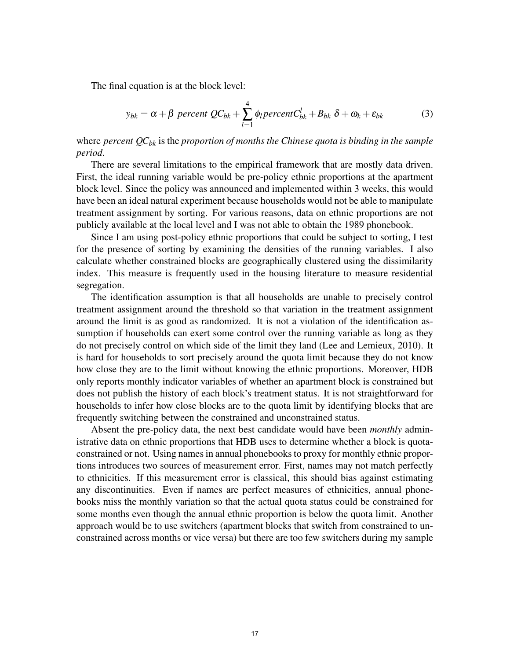The final equation is at the block level:

$$
y_{bk} = \alpha + \beta \text{ percent } QC_{bk} + \sum_{l=1}^{4} \phi_l \text{ percent } C_{bk}^l + B_{bk} \delta + \omega_k + \varepsilon_{bk} \tag{3}
$$

where *percent QCbk* is the *proportion of months the Chinese quota is binding in the sample period*.

There are several limitations to the empirical framework that are mostly data driven. First, the ideal running variable would be pre-policy ethnic proportions at the apartment block level. Since the policy was announced and implemented within 3 weeks, this would have been an ideal natural experiment because households would not be able to manipulate treatment assignment by sorting. For various reasons, data on ethnic proportions are not publicly available at the local level and I was not able to obtain the 1989 phonebook.

Since I am using post-policy ethnic proportions that could be subject to sorting, I test for the presence of sorting by examining the densities of the running variables. I also calculate whether constrained blocks are geographically clustered using the dissimilarity index. This measure is frequently used in the housing literature to measure residential segregation.

The identification assumption is that all households are unable to precisely control treatment assignment around the threshold so that variation in the treatment assignment around the limit is as good as randomized. It is not a violation of the identification assumption if households can exert some control over the running variable as long as they do not precisely control on which side of the limit they land (Lee and Lemieux, 2010). It is hard for households to sort precisely around the quota limit because they do not know how close they are to the limit without knowing the ethnic proportions. Moreover, HDB only reports monthly indicator variables of whether an apartment block is constrained but does not publish the history of each block's treatment status. It is not straightforward for households to infer how close blocks are to the quota limit by identifying blocks that are frequently switching between the constrained and unconstrained status.

Absent the pre-policy data, the next best candidate would have been *monthly* administrative data on ethnic proportions that HDB uses to determine whether a block is quotaconstrained or not. Using names in annual phonebooks to proxy for monthly ethnic proportions introduces two sources of measurement error. First, names may not match perfectly to ethnicities. If this measurement error is classical, this should bias against estimating any discontinuities. Even if names are perfect measures of ethnicities, annual phonebooks miss the monthly variation so that the actual quota status could be constrained for some months even though the annual ethnic proportion is below the quota limit. Another approach would be to use switchers (apartment blocks that switch from constrained to unconstrained across months or vice versa) but there are too few switchers during my sample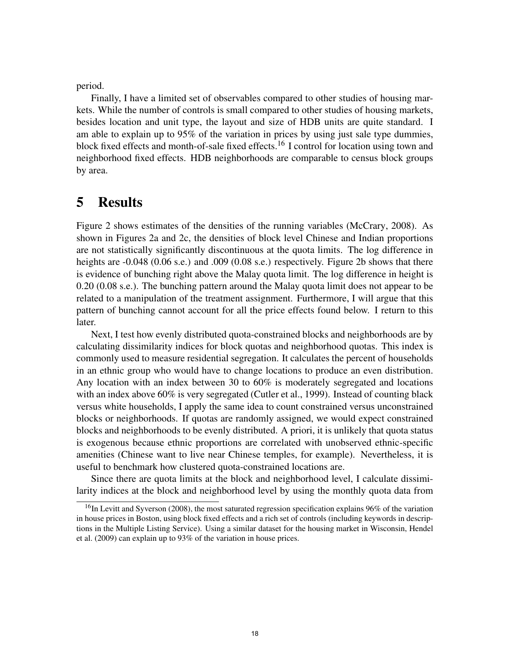period.

Finally, I have a limited set of observables compared to other studies of housing markets. While the number of controls is small compared to other studies of housing markets, besides location and unit type, the layout and size of HDB units are quite standard. I am able to explain up to 95% of the variation in prices by using just sale type dummies, block fixed effects and month-of-sale fixed effects.<sup>16</sup> I control for location using town and neighborhood fixed effects. HDB neighborhoods are comparable to census block groups by area.

### 5 Results

Figure 2 shows estimates of the densities of the running variables (McCrary, 2008). As shown in Figures 2a and 2c, the densities of block level Chinese and Indian proportions are not statistically significantly discontinuous at the quota limits. The log difference in heights are  $-0.048$  (0.06 s.e.) and .009 (0.08 s.e.) respectively. Figure 2b shows that there is evidence of bunching right above the Malay quota limit. The log difference in height is 0.20 (0.08 s.e.). The bunching pattern around the Malay quota limit does not appear to be related to a manipulation of the treatment assignment. Furthermore, I will argue that this pattern of bunching cannot account for all the price effects found below. I return to this later.

Next, I test how evenly distributed quota-constrained blocks and neighborhoods are by calculating dissimilarity indices for block quotas and neighborhood quotas. This index is commonly used to measure residential segregation. It calculates the percent of households in an ethnic group who would have to change locations to produce an even distribution. Any location with an index between 30 to 60% is moderately segregated and locations with an index above 60% is very segregated (Cutler et al., 1999). Instead of counting black versus white households, I apply the same idea to count constrained versus unconstrained blocks or neighborhoods. If quotas are randomly assigned, we would expect constrained blocks and neighborhoods to be evenly distributed. A priori, it is unlikely that quota status is exogenous because ethnic proportions are correlated with unobserved ethnic-specific amenities (Chinese want to live near Chinese temples, for example). Nevertheless, it is useful to benchmark how clustered quota-constrained locations are.

Since there are quota limits at the block and neighborhood level, I calculate dissimilarity indices at the block and neighborhood level by using the monthly quota data from

<sup>&</sup>lt;sup>16</sup>In Levitt and Syverson (2008), the most saturated regression specification explains 96% of the variation in house prices in Boston, using block fixed effects and a rich set of controls (including keywords in descriptions in the Multiple Listing Service). Using a similar dataset for the housing market in Wisconsin, Hendel et al. (2009) can explain up to 93% of the variation in house prices.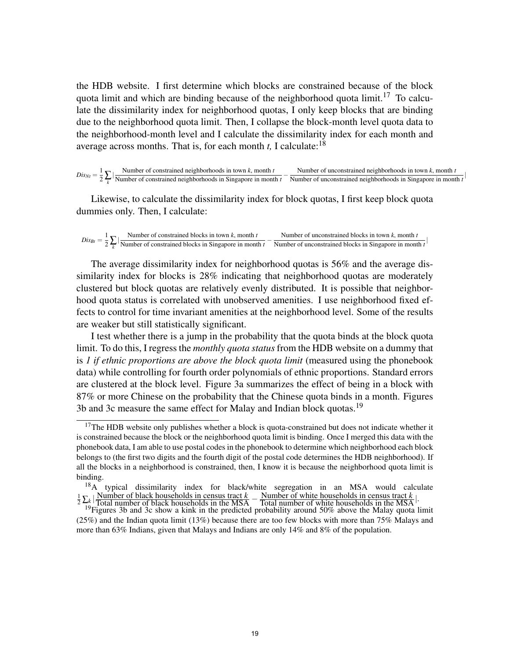the HDB website. I first determine which blocks are constrained because of the block quota limit and which are binding because of the neighborhood quota limit.<sup>17</sup> To calculate the dissimilarity index for neighborhood quotas, I only keep blocks that are binding due to the neighborhood quota limit. Then, I collapse the block-month level quota data to the neighborhood-month level and I calculate the dissimilarity index for each month and average across months. That is, for each month  $t$ , I calculate:<sup>18</sup>

 $Dis<sub>Nt</sub> = \frac{1}{2} \sum_{k}$  $\frac{N$  Wumber of constrained neighborhoods in town *k*, month *t* Number of constrained neighborhoods in town *k*, month *t*<br>Number of constrained neighborhoods in Singapore in month *t* − Number of unconstrained neighborhoods in Singapore in mont Number of unconstrained neighborhoods in Singapore in month *t* |

Likewise, to calculate the dissimilarity index for block quotas, I first keep block quota dummies only. Then, I calculate:

$$
Dis_{Bt} = \frac{1}{2} \sum_{k} |\frac{\text{Number of constrained blocks in town } k, \text{month } t}{\text{Number of constrained blocks in Singapore in month } t} - \frac{\text{Number of unconstrained blocks in town } k, \text{ month } t}{\text{Number of unconstrained blocks in Singapore in month } t}
$$

The average dissimilarity index for neighborhood quotas is 56% and the average dissimilarity index for blocks is 28% indicating that neighborhood quotas are moderately clustered but block quotas are relatively evenly distributed. It is possible that neighborhood quota status is correlated with unobserved amenities. I use neighborhood fixed effects to control for time invariant amenities at the neighborhood level. Some of the results are weaker but still statistically significant.

I test whether there is a jump in the probability that the quota binds at the block quota limit. To do this, I regress the *monthly quota status* from the HDB website on a dummy that is *1 if ethnic proportions are above the block quota limit* (measured using the phonebook data) while controlling for fourth order polynomials of ethnic proportions. Standard errors are clustered at the block level. Figure 3a summarizes the effect of being in a block with 87% or more Chinese on the probability that the Chinese quota binds in a month. Figures 3b and 3c measure the same effect for Malay and Indian block quotas.<sup>19</sup>

<sup>&</sup>lt;sup>17</sup>The HDB website only publishes whether a block is quota-constrained but does not indicate whether it is constrained because the block or the neighborhood quota limit is binding. Once I merged this data with the phonebook data, I am able to use postal codes in the phonebook to determine which neighborhood each block belongs to (the first two digits and the fourth digit of the postal code determines the HDB neighborhood). If all the blocks in a neighborhood is constrained, then, I know it is because the neighborhood quota limit is binding.

<sup>&</sup>lt;sup>18</sup>A typical dissimilarity index for black/white segregation in an MSA would calculate  $\frac{1}{2} \sum_{k} |\text{Number of black households in census tract } k - \text{Number of white households in census tract } k|$ .<br>Total number of black households in the MSA – Total number of white households in the MSA

<sup>&</sup>lt;sup>19</sup>Figures 3b and 3c show a kink in the predicted probability around 50% above the Malay quota limit (25%) and the Indian quota limit (13%) because there are too few blocks with more than 75% Malays and more than 63% Indians, given that Malays and Indians are only 14% and 8% of the population.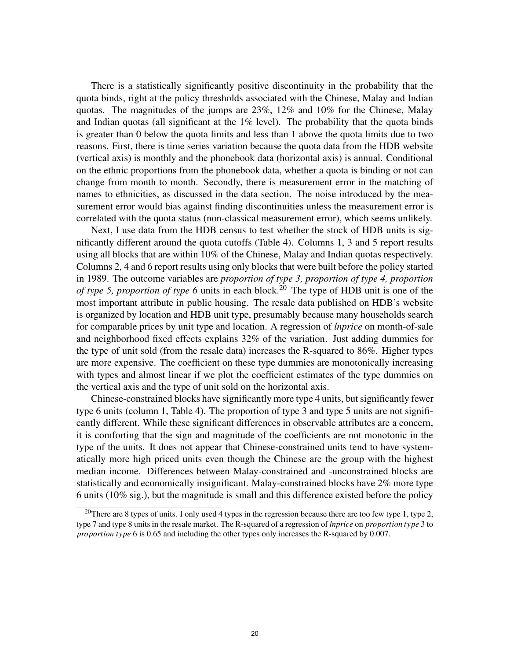There is a statistically significantly positive discontinuity in the probability that the quota binds, right at the policy thresholds associated with the Chinese, Malay and Indian quotas. The magnitudes of the jumps are 23%, 12% and 10% for the Chinese, Malay and Indian quotas (all significant at the  $1\%$  level). The probability that the quota binds is greater than 0 below the quota limits and less than 1 above the quota limits due to two reasons. First, there is time series variation because the quota data from the HDB website (vertical axis) is monthly and the phonebook data (horizontal axis) is annual. Conditional on the ethnic proportions from the phonebook data, whether a quota is binding or not can change from month to month. Secondly, there is measurement error in the matching of names to ethnicities, as discussed in the data section. The noise introduced by the measurement error would bias against finding discontinuities unless the measurement error is correlated with the quota status (non-classical measurement error), which seems unlikely.

Next, I use data from the HDB census to test whether the stock of HDB units is significantly different around the quota cutoffs (Table 4). Columns 1, 3 and 5 report results using all blocks that are within 10% of the Chinese, Malay and Indian quotas respectively. Columns 2, 4 and 6 report results using only blocks that were built before the policy started in 1989. The outcome variables are *proportion of type 3, proportion of type 4, proportion of type 5, proportion of type 6* units in each block.<sup>20</sup> The type of HDB unit is one of the most important attribute in public housing. The resale data published on HDB's website is organized by location and HDB unit type, presumably because many households search for comparable prices by unit type and location. A regression of *lnprice* on month-of-sale and neighborhood fixed effects explains 32% of the variation. Just adding dummies for the type of unit sold (from the resale data) increases the R-squared to 86%. Higher types are more expensive. The coefficient on these type dummies are monotonically increasing with types and almost linear if we plot the coefficient estimates of the type dummies on the vertical axis and the type of unit sold on the horizontal axis.

Chinese-constrained blocks have significantly more type 4 units, but significantly fewer type 6 units (column 1, Table 4). The proportion of type 3 and type 5 units are not significantly different. While these significant differences in observable attributes are a concern, it is comforting that the sign and magnitude of the coefficients are not monotonic in the type of the units. It does not appear that Chinese-constrained units tend to have systematically more high priced units even though the Chinese are the group with the highest median income. Differences between Malay-constrained and -unconstrained blocks are statistically and economically insignificant. Malay-constrained blocks have 2% more type 6 units (10% sig.), but the magnitude is small and this difference existed before the policy

<sup>&</sup>lt;sup>20</sup>There are 8 types of units. I only used 4 types in the regression because there are too few type 1, type 2, type 7 and type 8 units in the resale market. The R-squared of a regression of *lnprice* on *proportion type* 3 to *proportion type* 6 is 0.65 and including the other types only increases the R-squared by 0.007.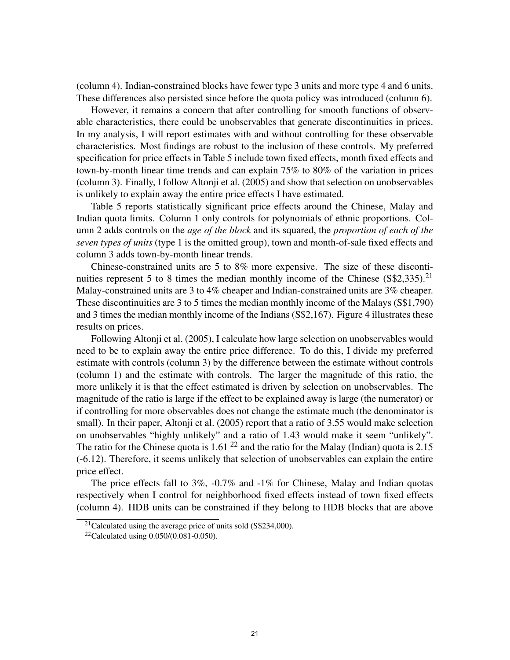(column 4). Indian-constrained blocks have fewer type 3 units and more type 4 and 6 units. These differences also persisted since before the quota policy was introduced (column 6).

However, it remains a concern that after controlling for smooth functions of observable characteristics, there could be unobservables that generate discontinuities in prices. In my analysis, I will report estimates with and without controlling for these observable characteristics. Most findings are robust to the inclusion of these controls. My preferred specification for price effects in Table 5 include town fixed effects, month fixed effects and town-by-month linear time trends and can explain 75% to 80% of the variation in prices (column 3). Finally, I follow Altonji et al. (2005) and show that selection on unobservables is unlikely to explain away the entire price effects I have estimated.

Table 5 reports statistically significant price effects around the Chinese, Malay and Indian quota limits. Column 1 only controls for polynomials of ethnic proportions. Column 2 adds controls on the *age of the block* and its squared, the *proportion of each of the seven types of units* (type 1 is the omitted group), town and month-of-sale fixed effects and column 3 adds town-by-month linear trends.

Chinese-constrained units are 5 to 8% more expensive. The size of these discontinuities represent 5 to 8 times the median monthly income of the Chinese (S\$2,335).<sup>21</sup> Malay-constrained units are 3 to 4% cheaper and Indian-constrained units are 3% cheaper. These discontinuities are 3 to 5 times the median monthly income of the Malays (S\$1,790) and 3 times the median monthly income of the Indians (S\$2,167). Figure 4 illustrates these results on prices.

Following Altonji et al. (2005), I calculate how large selection on unobservables would need to be to explain away the entire price difference. To do this, I divide my preferred estimate with controls (column 3) by the difference between the estimate without controls (column 1) and the estimate with controls. The larger the magnitude of this ratio, the more unlikely it is that the effect estimated is driven by selection on unobservables. The magnitude of the ratio is large if the effect to be explained away is large (the numerator) or if controlling for more observables does not change the estimate much (the denominator is small). In their paper, Altonji et al. (2005) report that a ratio of 3.55 would make selection on unobservables "highly unlikely" and a ratio of 1.43 would make it seem "unlikely". The ratio for the Chinese quota is 1.61<sup>22</sup> and the ratio for the Malay (Indian) quota is 2.15 (-6.12). Therefore, it seems unlikely that selection of unobservables can explain the entire price effect.

The price effects fall to 3%, -0.7% and -1% for Chinese, Malay and Indian quotas respectively when I control for neighborhood fixed effects instead of town fixed effects (column 4). HDB units can be constrained if they belong to HDB blocks that are above

<sup>&</sup>lt;sup>21</sup>Calculated using the average price of units sold  $(S$234,000)$ .

<sup>&</sup>lt;sup>22</sup>Calculated using  $0.050/(0.081 - 0.050)$ .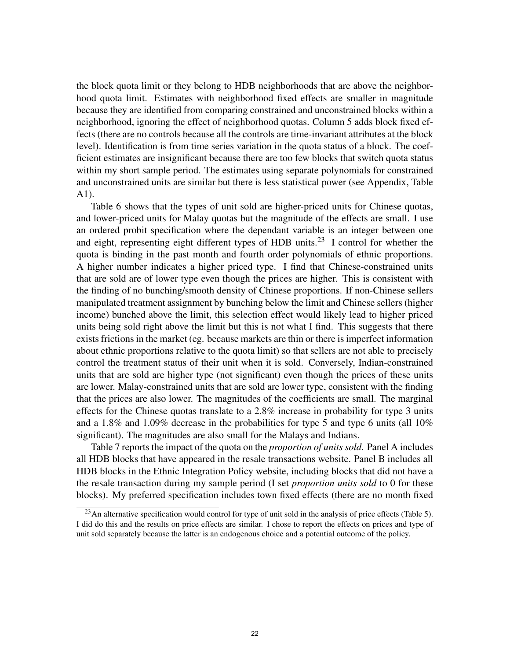the block quota limit or they belong to HDB neighborhoods that are above the neighborhood quota limit. Estimates with neighborhood fixed effects are smaller in magnitude because they are identified from comparing constrained and unconstrained blocks within a neighborhood, ignoring the effect of neighborhood quotas. Column 5 adds block fixed effects (there are no controls because all the controls are time-invariant attributes at the block level). Identification is from time series variation in the quota status of a block. The coefficient estimates are insignificant because there are too few blocks that switch quota status within my short sample period. The estimates using separate polynomials for constrained and unconstrained units are similar but there is less statistical power (see Appendix, Table A1).

Table 6 shows that the types of unit sold are higher-priced units for Chinese quotas, and lower-priced units for Malay quotas but the magnitude of the effects are small. I use an ordered probit specification where the dependant variable is an integer between one and eight, representing eight different types of HDB units.<sup>23</sup> I control for whether the quota is binding in the past month and fourth order polynomials of ethnic proportions. A higher number indicates a higher priced type. I find that Chinese-constrained units that are sold are of lower type even though the prices are higher. This is consistent with the finding of no bunching/smooth density of Chinese proportions. If non-Chinese sellers manipulated treatment assignment by bunching below the limit and Chinese sellers (higher income) bunched above the limit, this selection effect would likely lead to higher priced units being sold right above the limit but this is not what I find. This suggests that there exists frictions in the market (eg. because markets are thin or there is imperfect information about ethnic proportions relative to the quota limit) so that sellers are not able to precisely control the treatment status of their unit when it is sold. Conversely, Indian-constrained units that are sold are higher type (not significant) even though the prices of these units are lower. Malay-constrained units that are sold are lower type, consistent with the finding that the prices are also lower. The magnitudes of the coefficients are small. The marginal effects for the Chinese quotas translate to a 2.8% increase in probability for type 3 units and a 1.8% and 1.09% decrease in the probabilities for type 5 and type 6 units (all 10% significant). The magnitudes are also small for the Malays and Indians.

Table 7 reports the impact of the quota on the *proportion of units sold*. Panel A includes all HDB blocks that have appeared in the resale transactions website. Panel B includes all HDB blocks in the Ethnic Integration Policy website, including blocks that did not have a the resale transaction during my sample period (I set *proportion units sold* to 0 for these blocks). My preferred specification includes town fixed effects (there are no month fixed

<sup>&</sup>lt;sup>23</sup>An alternative specification would control for type of unit sold in the analysis of price effects (Table 5). I did do this and the results on price effects are similar. I chose to report the effects on prices and type of unit sold separately because the latter is an endogenous choice and a potential outcome of the policy.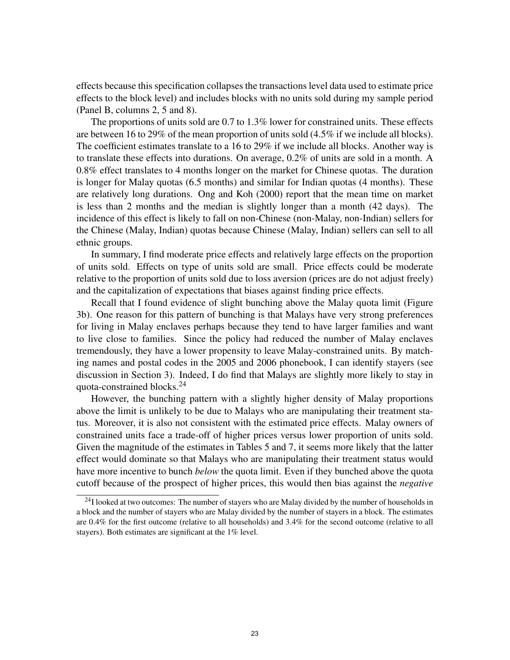effects because this specification collapses the transactions level data used to estimate price effects to the block level) and includes blocks with no units sold during my sample period (Panel B, columns 2, 5 and 8).

The proportions of units sold are 0.7 to 1.3% lower for constrained units. These effects are between 16 to 29% of the mean proportion of units sold (4.5% if we include all blocks). The coefficient estimates translate to a 16 to 29% if we include all blocks. Another way is to translate these effects into durations. On average, 0.2% of units are sold in a month. A 0.8% effect translates to 4 months longer on the market for Chinese quotas. The duration is longer for Malay quotas (6.5 months) and similar for Indian quotas (4 months). These are relatively long durations. Ong and Koh (2000) report that the mean time on market is less than 2 months and the median is slightly longer than a month (42 days). The incidence of this effect is likely to fall on non-Chinese (non-Malay, non-Indian) sellers for the Chinese (Malay, Indian) quotas because Chinese (Malay, Indian) sellers can sell to all ethnic groups.

In summary, I find moderate price effects and relatively large effects on the proportion of units sold. Effects on type of units sold are small. Price effects could be moderate relative to the proportion of units sold due to loss aversion (prices are do not adjust freely) and the capitalization of expectations that biases against finding price effects.

Recall that I found evidence of slight bunching above the Malay quota limit (Figure 3b). One reason for this pattern of bunching is that Malays have very strong preferences for living in Malay enclaves perhaps because they tend to have larger families and want to live close to families. Since the policy had reduced the number of Malay enclaves tremendously, they have a lower propensity to leave Malay-constrained units. By matching names and postal codes in the 2005 and 2006 phonebook, I can identify stayers (see discussion in Section 3). Indeed, I do find that Malays are slightly more likely to stay in quota-constrained blocks.<sup>24</sup>

However, the bunching pattern with a slightly higher density of Malay proportions above the limit is unlikely to be due to Malays who are manipulating their treatment status. Moreover, it is also not consistent with the estimated price effects. Malay owners of constrained units face a trade-off of higher prices versus lower proportion of units sold. Given the magnitude of the estimates in Tables 5 and 7, it seems more likely that the latter effect would dominate so that Malays who are manipulating their treatment status would have more incentive to bunch *below* the quota limit. Even if they bunched above the quota cutoff because of the prospect of higher prices, this would then bias against the *negative*

<sup>&</sup>lt;sup>24</sup>I looked at two outcomes: The number of stayers who are Malay divided by the number of households in a block and the number of stayers who are Malay divided by the number of stayers in a block. The estimates are 0.4% for the first outcome (relative to all households) and 3.4% for the second outcome (relative to all stayers). Both estimates are significant at the 1% level.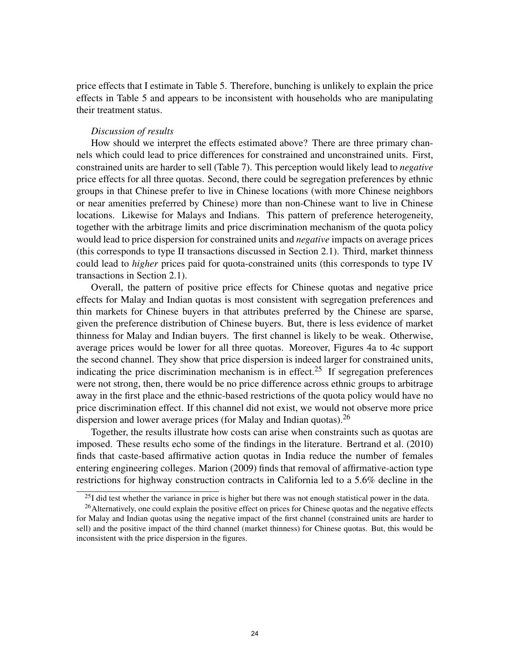price effects that I estimate in Table 5. Therefore, bunching is unlikely to explain the price effects in Table 5 and appears to be inconsistent with households who are manipulating their treatment status.

### *Discussion of results*

How should we interpret the effects estimated above? There are three primary channels which could lead to price differences for constrained and unconstrained units. First, constrained units are harder to sell (Table 7). This perception would likely lead to *negative* price effects for all three quotas. Second, there could be segregation preferences by ethnic groups in that Chinese prefer to live in Chinese locations (with more Chinese neighbors or near amenities preferred by Chinese) more than non-Chinese want to live in Chinese locations. Likewise for Malays and Indians. This pattern of preference heterogeneity, together with the arbitrage limits and price discrimination mechanism of the quota policy would lead to price dispersion for constrained units and *negative* impacts on average prices (this corresponds to type II transactions discussed in Section 2.1). Third, market thinness could lead to *higher* prices paid for quota-constrained units (this corresponds to type IV transactions in Section 2.1).

Overall, the pattern of positive price effects for Chinese quotas and negative price effects for Malay and Indian quotas is most consistent with segregation preferences and thin markets for Chinese buyers in that attributes preferred by the Chinese are sparse, given the preference distribution of Chinese buyers. But, there is less evidence of market thinness for Malay and Indian buyers. The first channel is likely to be weak. Otherwise, average prices would be lower for all three quotas. Moreover, Figures 4a to 4c support the second channel. They show that price dispersion is indeed larger for constrained units, indicating the price discrimination mechanism is in effect.<sup>25</sup> If segregation preferences were not strong, then, there would be no price difference across ethnic groups to arbitrage away in the first place and the ethnic-based restrictions of the quota policy would have no price discrimination effect. If this channel did not exist, we would not observe more price dispersion and lower average prices (for Malay and Indian quotas).  $^{26}$ 

Together, the results illustrate how costs can arise when constraints such as quotas are imposed. These results echo some of the findings in the literature. Bertrand et al. (2010) finds that caste-based affirmative action quotas in India reduce the number of females entering engineering colleges. Marion (2009) finds that removal of affirmative-action type restrictions for highway construction contracts in California led to a 5.6% decline in the

 $^{25}$ I did test whether the variance in price is higher but there was not enough statistical power in the data.

<sup>&</sup>lt;sup>26</sup>Alternatively, one could explain the positive effect on prices for Chinese quotas and the negative effects for Malay and Indian quotas using the negative impact of the first channel (constrained units are harder to sell) and the positive impact of the third channel (market thinness) for Chinese quotas. But, this would be inconsistent with the price dispersion in the figures.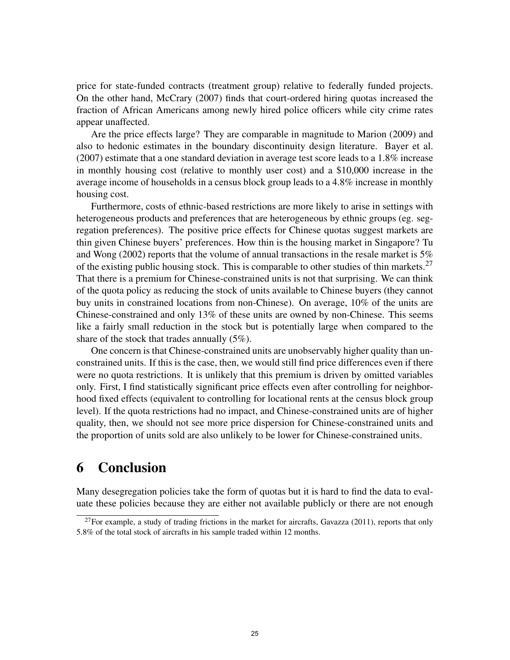price for state-funded contracts (treatment group) relative to federally funded projects. On the other hand, McCrary (2007) finds that court-ordered hiring quotas increased the fraction of African Americans among newly hired police officers while city crime rates appear unaffected.

Are the price effects large? They are comparable in magnitude to Marion (2009) and also to hedonic estimates in the boundary discontinuity design literature. Bayer et al. (2007) estimate that a one standard deviation in average test score leads to a 1.8% increase in monthly housing cost (relative to monthly user cost) and a \$10,000 increase in the average income of households in a census block group leads to a 4.8% increase in monthly housing cost.

Furthermore, costs of ethnic-based restrictions are more likely to arise in settings with heterogeneous products and preferences that are heterogeneous by ethnic groups (eg. segregation preferences). The positive price effects for Chinese quotas suggest markets are thin given Chinese buyers' preferences. How thin is the housing market in Singapore? Tu and Wong (2002) reports that the volume of annual transactions in the resale market is 5% of the existing public housing stock. This is comparable to other studies of thin markets.<sup>27</sup> That there is a premium for Chinese-constrained units is not that surprising. We can think of the quota policy as reducing the stock of units available to Chinese buyers (they cannot buy units in constrained locations from non-Chinese). On average, 10% of the units are Chinese-constrained and only 13% of these units are owned by non-Chinese. This seems like a fairly small reduction in the stock but is potentially large when compared to the share of the stock that trades annually (5%).

One concern is that Chinese-constrained units are unobservably higher quality than unconstrained units. If this is the case, then, we would still find price differences even if there were no quota restrictions. It is unlikely that this premium is driven by omitted variables only. First, I find statistically significant price effects even after controlling for neighborhood fixed effects (equivalent to controlling for locational rents at the census block group level). If the quota restrictions had no impact, and Chinese-constrained units are of higher quality, then, we should not see more price dispersion for Chinese-constrained units and the proportion of units sold are also unlikely to be lower for Chinese-constrained units.

# 6 Conclusion

Many desegregation policies take the form of quotas but it is hard to find the data to evaluate these policies because they are either not available publicly or there are not enough

 $^{27}$ For example, a study of trading frictions in the market for aircrafts, Gavazza (2011), reports that only 5.8% of the total stock of aircrafts in his sample traded within 12 months.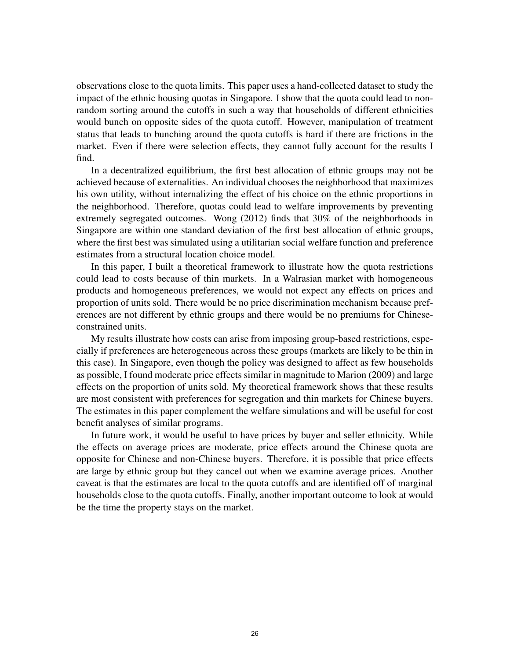observations close to the quota limits. This paper uses a hand-collected dataset to study the impact of the ethnic housing quotas in Singapore. I show that the quota could lead to nonrandom sorting around the cutoffs in such a way that households of different ethnicities would bunch on opposite sides of the quota cutoff. However, manipulation of treatment status that leads to bunching around the quota cutoffs is hard if there are frictions in the market. Even if there were selection effects, they cannot fully account for the results I find.

In a decentralized equilibrium, the first best allocation of ethnic groups may not be achieved because of externalities. An individual chooses the neighborhood that maximizes his own utility, without internalizing the effect of his choice on the ethnic proportions in the neighborhood. Therefore, quotas could lead to welfare improvements by preventing extremely segregated outcomes. Wong (2012) finds that 30% of the neighborhoods in Singapore are within one standard deviation of the first best allocation of ethnic groups, where the first best was simulated using a utilitarian social welfare function and preference estimates from a structural location choice model.

In this paper, I built a theoretical framework to illustrate how the quota restrictions could lead to costs because of thin markets. In a Walrasian market with homogeneous products and homogeneous preferences, we would not expect any effects on prices and proportion of units sold. There would be no price discrimination mechanism because preferences are not different by ethnic groups and there would be no premiums for Chineseconstrained units.

My results illustrate how costs can arise from imposing group-based restrictions, especially if preferences are heterogeneous across these groups (markets are likely to be thin in this case). In Singapore, even though the policy was designed to affect as few households as possible, I found moderate price effects similar in magnitude to Marion (2009) and large effects on the proportion of units sold. My theoretical framework shows that these results are most consistent with preferences for segregation and thin markets for Chinese buyers. The estimates in this paper complement the welfare simulations and will be useful for cost benefit analyses of similar programs.

In future work, it would be useful to have prices by buyer and seller ethnicity. While the effects on average prices are moderate, price effects around the Chinese quota are opposite for Chinese and non-Chinese buyers. Therefore, it is possible that price effects are large by ethnic group but they cancel out when we examine average prices. Another caveat is that the estimates are local to the quota cutoffs and are identified off of marginal households close to the quota cutoffs. Finally, another important outcome to look at would be the time the property stays on the market.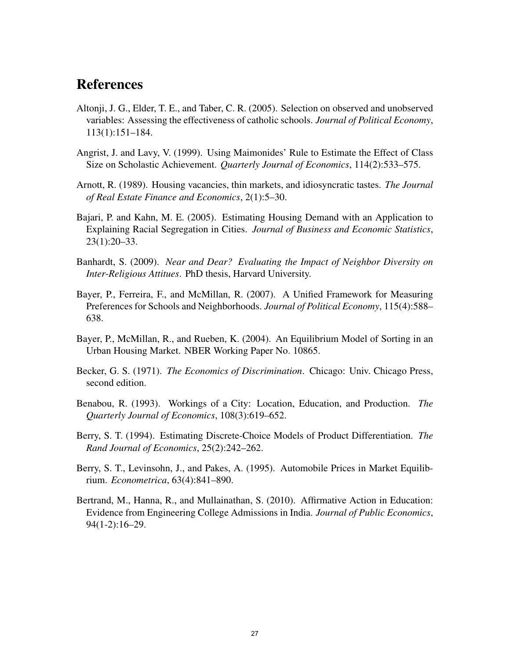# References

- Altonji, J. G., Elder, T. E., and Taber, C. R. (2005). Selection on observed and unobserved variables: Assessing the effectiveness of catholic schools. *Journal of Political Economy*, 113(1):151–184.
- Angrist, J. and Lavy, V. (1999). Using Maimonides' Rule to Estimate the Effect of Class Size on Scholastic Achievement. *Quarterly Journal of Economics*, 114(2):533–575.
- Arnott, R. (1989). Housing vacancies, thin markets, and idiosyncratic tastes. *The Journal of Real Estate Finance and Economics*, 2(1):5–30.
- Bajari, P. and Kahn, M. E. (2005). Estimating Housing Demand with an Application to Explaining Racial Segregation in Cities. *Journal of Business and Economic Statistics*, 23(1):20–33.
- Banhardt, S. (2009). *Near and Dear? Evaluating the Impact of Neighbor Diversity on Inter-Religious Attitues*. PhD thesis, Harvard University.
- Bayer, P., Ferreira, F., and McMillan, R. (2007). A Unified Framework for Measuring Preferences for Schools and Neighborhoods. *Journal of Political Economy*, 115(4):588– 638.
- Bayer, P., McMillan, R., and Rueben, K. (2004). An Equilibrium Model of Sorting in an Urban Housing Market. NBER Working Paper No. 10865.
- Becker, G. S. (1971). *The Economics of Discrimination*. Chicago: Univ. Chicago Press, second edition.
- Benabou, R. (1993). Workings of a City: Location, Education, and Production. *The Quarterly Journal of Economics*, 108(3):619–652.
- Berry, S. T. (1994). Estimating Discrete-Choice Models of Product Differentiation. *The Rand Journal of Economics*, 25(2):242–262.
- Berry, S. T., Levinsohn, J., and Pakes, A. (1995). Automobile Prices in Market Equilibrium. *Econometrica*, 63(4):841–890.
- Bertrand, M., Hanna, R., and Mullainathan, S. (2010). Affirmative Action in Education: Evidence from Engineering College Admissions in India. *Journal of Public Economics*, 94(1-2):16–29.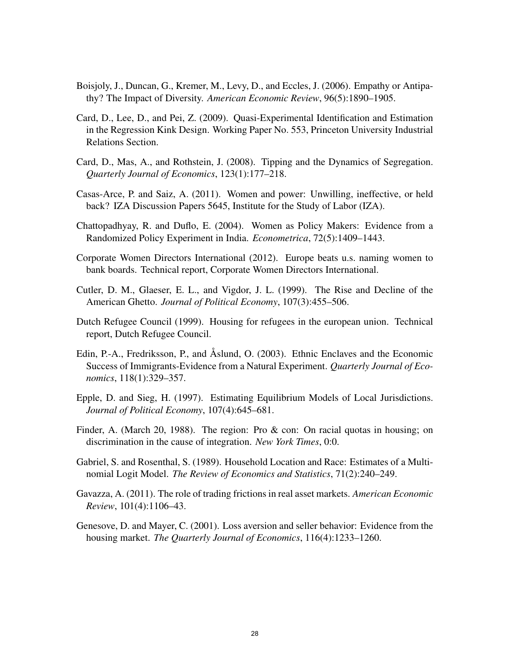- Boisjoly, J., Duncan, G., Kremer, M., Levy, D., and Eccles, J. (2006). Empathy or Antipathy? The Impact of Diversity. *American Economic Review*, 96(5):1890–1905.
- Card, D., Lee, D., and Pei, Z. (2009). Quasi-Experimental Identification and Estimation in the Regression Kink Design. Working Paper No. 553, Princeton University Industrial Relations Section.
- Card, D., Mas, A., and Rothstein, J. (2008). Tipping and the Dynamics of Segregation. *Quarterly Journal of Economics*, 123(1):177–218.
- Casas-Arce, P. and Saiz, A. (2011). Women and power: Unwilling, ineffective, or held back? IZA Discussion Papers 5645, Institute for the Study of Labor (IZA).
- Chattopadhyay, R. and Duflo, E. (2004). Women as Policy Makers: Evidence from a Randomized Policy Experiment in India. *Econometrica*, 72(5):1409–1443.
- Corporate Women Directors International (2012). Europe beats u.s. naming women to bank boards. Technical report, Corporate Women Directors International.
- Cutler, D. M., Glaeser, E. L., and Vigdor, J. L. (1999). The Rise and Decline of the American Ghetto. *Journal of Political Economy*, 107(3):455–506.
- Dutch Refugee Council (1999). Housing for refugees in the european union. Technical report, Dutch Refugee Council.
- Edin, P.-A., Fredriksson, P., and Åslund, O. (2003). Ethnic Enclaves and the Economic Success of Immigrants-Evidence from a Natural Experiment. *Quarterly Journal of Economics*, 118(1):329–357.
- Epple, D. and Sieg, H. (1997). Estimating Equilibrium Models of Local Jurisdictions. *Journal of Political Economy*, 107(4):645–681.
- Finder, A. (March 20, 1988). The region: Pro & con: On racial quotas in housing; on discrimination in the cause of integration. *New York Times*, 0:0.
- Gabriel, S. and Rosenthal, S. (1989). Household Location and Race: Estimates of a Multinomial Logit Model. *The Review of Economics and Statistics*, 71(2):240–249.
- Gavazza, A. (2011). The role of trading frictions in real asset markets. *American Economic Review*, 101(4):1106–43.
- Genesove, D. and Mayer, C. (2001). Loss aversion and seller behavior: Evidence from the housing market. *The Quarterly Journal of Economics*, 116(4):1233–1260.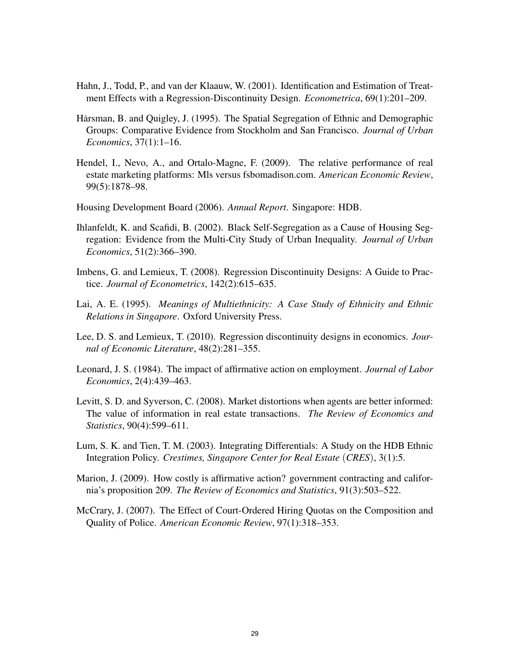- Hahn, J., Todd, P., and van der Klaauw, W. (2001). Identification and Estimation of Treatment Effects with a Regression-Discontinuity Design. *Econometrica*, 69(1):201–209.
- Harsman, B. and Quigley, J. (1995). The Spatial Segregation of Ethnic and Demographic Groups: Comparative Evidence from Stockholm and San Francisco. *Journal of Urban Economics*, 37(1):1–16.
- Hendel, I., Nevo, A., and Ortalo-Magne, F. (2009). The relative performance of real estate marketing platforms: Mls versus fsbomadison.com. *American Economic Review*, 99(5):1878–98.
- Housing Development Board (2006). *Annual Report*. Singapore: HDB.
- Ihlanfeldt, K. and Scafidi, B. (2002). Black Self-Segregation as a Cause of Housing Segregation: Evidence from the Multi-City Study of Urban Inequality. *Journal of Urban Economics*, 51(2):366–390.
- Imbens, G. and Lemieux, T. (2008). Regression Discontinuity Designs: A Guide to Practice. *Journal of Econometrics*, 142(2):615–635.
- Lai, A. E. (1995). *Meanings of Multiethnicity: A Case Study of Ethnicity and Ethnic Relations in Singapore*. Oxford University Press.
- Lee, D. S. and Lemieux, T. (2010). Regression discontinuity designs in economics. *Journal of Economic Literature*, 48(2):281–355.
- Leonard, J. S. (1984). The impact of affirmative action on employment. *Journal of Labor Economics*, 2(4):439–463.
- Levitt, S. D. and Syverson, C. (2008). Market distortions when agents are better informed: The value of information in real estate transactions. *The Review of Economics and Statistics*, 90(4):599–611.
- Lum, S. K. and Tien, T. M. (2003). Integrating Differentials: A Study on the HDB Ethnic Integration Policy. *Crestimes, Singapore Center for Real Estate* (*CRES*), 3(1):5.
- Marion, J. (2009). How costly is affirmative action? government contracting and california's proposition 209. *The Review of Economics and Statistics*, 91(3):503–522.
- McCrary, J. (2007). The Effect of Court-Ordered Hiring Quotas on the Composition and Quality of Police. *American Economic Review*, 97(1):318–353.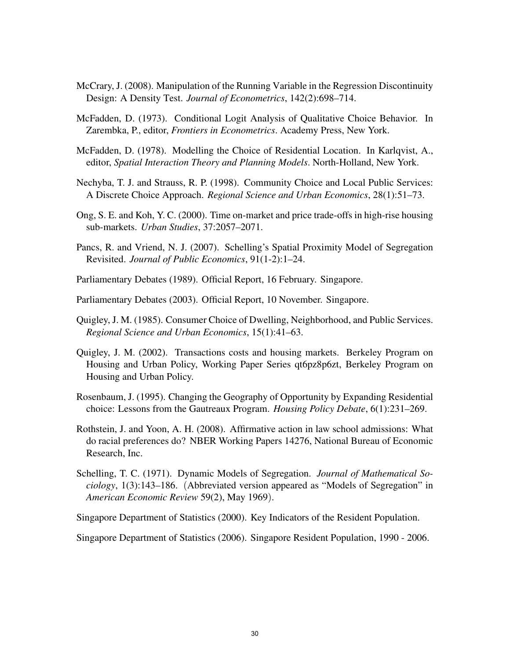- McCrary, J. (2008). Manipulation of the Running Variable in the Regression Discontinuity Design: A Density Test. *Journal of Econometrics*, 142(2):698–714.
- McFadden, D. (1973). Conditional Logit Analysis of Qualitative Choice Behavior. In Zarembka, P., editor, *Frontiers in Econometrics*. Academy Press, New York.
- McFadden, D. (1978). Modelling the Choice of Residential Location. In Karlqvist, A., editor, *Spatial Interaction Theory and Planning Models*. North-Holland, New York.
- Nechyba, T. J. and Strauss, R. P. (1998). Community Choice and Local Public Services: A Discrete Choice Approach. *Regional Science and Urban Economics*, 28(1):51–73.
- Ong, S. E. and Koh, Y. C. (2000). Time on-market and price trade-offs in high-rise housing sub-markets. *Urban Studies*, 37:2057–2071.
- Pancs, R. and Vriend, N. J. (2007). Schelling's Spatial Proximity Model of Segregation Revisited. *Journal of Public Economics*, 91(1-2):1–24.
- Parliamentary Debates (1989). Official Report, 16 February. Singapore.
- Parliamentary Debates (2003). Official Report, 10 November. Singapore.
- Quigley, J. M. (1985). Consumer Choice of Dwelling, Neighborhood, and Public Services. *Regional Science and Urban Economics*, 15(1):41–63.
- Quigley, J. M. (2002). Transactions costs and housing markets. Berkeley Program on Housing and Urban Policy, Working Paper Series qt6pz8p6zt, Berkeley Program on Housing and Urban Policy.
- Rosenbaum, J. (1995). Changing the Geography of Opportunity by Expanding Residential choice: Lessons from the Gautreaux Program. *Housing Policy Debate*, 6(1):231–269.
- Rothstein, J. and Yoon, A. H. (2008). Affirmative action in law school admissions: What do racial preferences do? NBER Working Papers 14276, National Bureau of Economic Research, Inc.
- Schelling, T. C. (1971). Dynamic Models of Segregation. *Journal of Mathematical Sociology*, 1(3):143–186. (Abbreviated version appeared as "Models of Segregation" in *American Economic Review* 59(2), May 1969).
- Singapore Department of Statistics (2000). Key Indicators of the Resident Population.

Singapore Department of Statistics (2006). Singapore Resident Population, 1990 - 2006.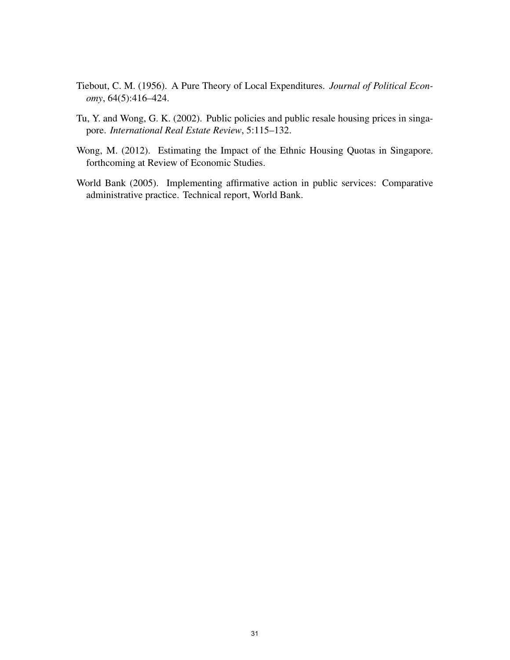- Tiebout, C. M. (1956). A Pure Theory of Local Expenditures. *Journal of Political Economy*, 64(5):416–424.
- Tu, Y. and Wong, G. K. (2002). Public policies and public resale housing prices in singapore. *International Real Estate Review*, 5:115–132.
- Wong, M. (2012). Estimating the Impact of the Ethnic Housing Quotas in Singapore. forthcoming at Review of Economic Studies.
- World Bank (2005). Implementing affirmative action in public services: Comparative administrative practice. Technical report, World Bank.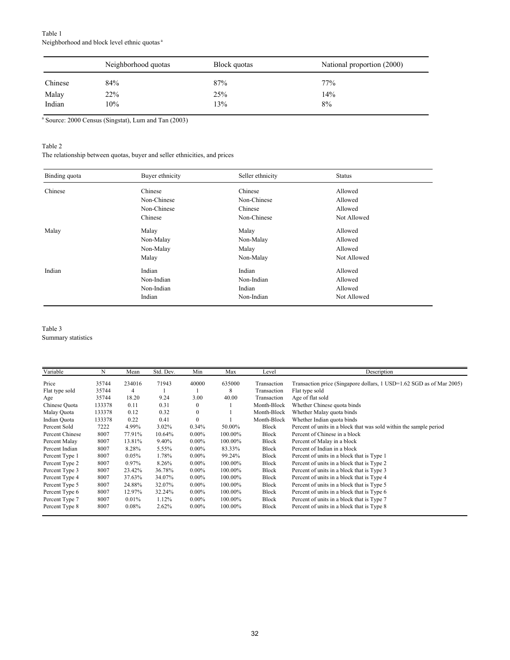|         | Neighborhood quotas | Block quotas | National proportion (2000) |
|---------|---------------------|--------------|----------------------------|
| Chinese | 84%                 | 87%          | 77%                        |
| Malay   | 22%                 | 25%          | 14%                        |
| Indian  | 10%                 | 13%          | 8%                         |

a Source: 2000 Census (Singstat), Lum and Tan (2003)

### Table 2

The relationship between quotas, buyer and seller ethnicities, and prices

| Binding quota | Buyer ethnicity | Seller ethnicity | <b>Status</b> |  |
|---------------|-----------------|------------------|---------------|--|
| Chinese       | Chinese         | Chinese          | Allowed       |  |
|               | Non-Chinese     | Non-Chinese      | Allowed       |  |
|               | Non-Chinese     | Chinese          | Allowed       |  |
|               | Chinese         | Non-Chinese      | Not Allowed   |  |
| Malay         | Malay           | Malay            | Allowed       |  |
|               | Non-Malay       | Non-Malay        | Allowed       |  |
|               | Non-Malay       | Malay            | Allowed       |  |
|               | Malay           | Non-Malay        | Not Allowed   |  |
| Indian        | Indian          | Indian           | Allowed       |  |
|               | Non-Indian      | Non-Indian       | Allowed       |  |
|               | Non-Indian      | Indian           | Allowed       |  |
|               | Indian          | Non-Indian       | Not Allowed   |  |

### Table 3

Summary statistics

| Variable        | N      | Mean   | Std. Dev. | Min          | Max     | Level        | Description                                                          |
|-----------------|--------|--------|-----------|--------------|---------|--------------|----------------------------------------------------------------------|
| Price           | 35744  | 234016 | 71943     | 40000        | 635000  | Transaction  | Transaction price (Singapore dollars, 1 USD=1.62 SGD as of Mar 2005) |
| Flat type sold  | 35744  | 4      |           |              | 8       | Transaction  | Flat type sold                                                       |
| Age             | 35744  | 18.20  | 9.24      | 3.00         | 40.00   | Transaction  | Age of flat sold                                                     |
| Chinese Quota   | 133378 | 0.11   | 0.31      | $\mathbf{0}$ |         | Month-Block  | Whether Chinese quota binds                                          |
| Malay Quota     | 133378 | 0.12   | 0.32      | $\mathbf{0}$ |         | Month-Block  | Whether Malay quota binds                                            |
| Indian Quota    | 133378 | 0.22   | 0.41      | $\mathbf{0}$ |         | Month-Block  | Whether Indian quota binds                                           |
| Percent Sold    | 7222   | 4.99%  | 3.02%     | 0.34%        | 50.00%  | Block        | Percent of units in a block that was sold within the sample period   |
| Percent Chinese | 8007   | 77.91% | 10.64%    | $0.00\%$     | 100.00% | <b>Block</b> | Percent of Chinese in a block                                        |
| Percent Malay   | 8007   | 13.81% | 9.40%     | $0.00\%$     | 100.00% | <b>Block</b> | Percent of Malay in a block                                          |
| Percent Indian  | 8007   | 8.28%  | 5.55%     | $0.00\%$     | 83.33%  | Block        | Percent of Indian in a block                                         |
| Percent Type 1  | 8007   | 0.05%  | 1.78%     | $0.00\%$     | 99.24%  | <b>Block</b> | Percent of units in a block that is Type 1                           |
| Percent Type 2  | 8007   | 0.97%  | 8.26%     | $0.00\%$     | 100.00% | Block        | Percent of units in a block that is Type 2                           |
| Percent Type 3  | 8007   | 23.42% | 36.78%    | $0.00\%$     | 100.00% | Block        | Percent of units in a block that is Type 3                           |
| Percent Type 4  | 8007   | 37.63% | 34.07%    | $0.00\%$     | 100.00% | Block        | Percent of units in a block that is Type 4                           |
| Percent Type 5  | 8007   | 24.88% | 32.07%    | $0.00\%$     | 100.00% | Block        | Percent of units in a block that is Type 5                           |
| Percent Type 6  | 8007   | 12.97% | 32.24%    | $0.00\%$     | 100.00% | Block        | Percent of units in a block that is Type 6                           |
| Percent Type 7  | 8007   | 0.01%  | 1.12%     | $0.00\%$     | 100.00% | Block        | Percent of units in a block that is Type 7                           |
| Percent Type 8  | 8007   | 0.08%  | 2.62%     | $0.00\%$     | 100.00% | <b>Block</b> | Percent of units in a block that is Type 8                           |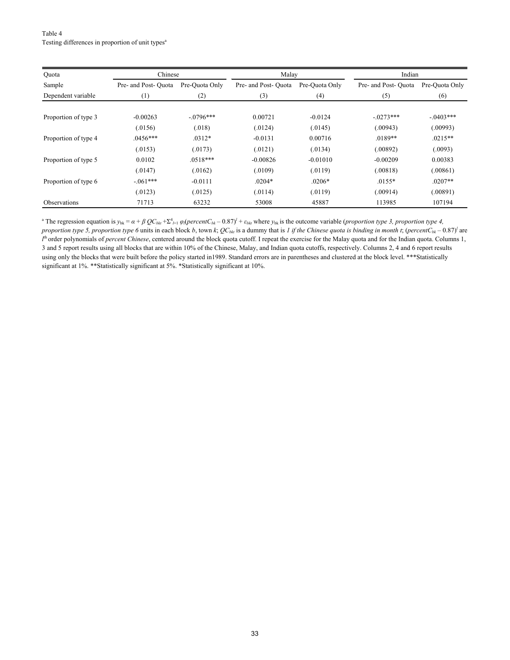Table 4 Testing differences in proportion of unit types<sup>a</sup>

| Quota                | Chinese             |                | Malay               |                | Indian              |                |  |
|----------------------|---------------------|----------------|---------------------|----------------|---------------------|----------------|--|
| Sample               | Pre- and Post-Ouota | Pre-Quota Only | Pre- and Post-Ouota | Pre-Ouota Only | Pre- and Post-Ouota | Pre-Ouota Only |  |
| Dependent variable   | (1)                 | (2)            | (3)                 | (4)            | (5)                 | (6)            |  |
|                      |                     |                |                     |                |                     |                |  |
| Proportion of type 3 | $-0.00263$          | $-0796***$     | 0.00721             | $-0.0124$      | $-0.0273***$        | $-.0403***$    |  |
|                      | (.0156)             | (.018)         | (.0124)             | (.0145)        | (.00943)            | (.00993)       |  |
| Proportion of type 4 | $.0456***$          | $.0312*$       | $-0.0131$           | 0.00716        | $.0189**$           | $.0215**$      |  |
|                      | (.0153)             | (.0173)        | (.0121)             | (.0134)        | (.00892)            | (.0093)        |  |
| Proportion of type 5 | 0.0102              | $.0518***$     | $-0.00826$          | $-0.01010$     | $-0.00209$          | 0.00383        |  |
|                      | (.0147)             | (.0162)        | (.0109)             | (.0119)        | (.00818)            | (.00861)       |  |
| Proportion of type 6 | $-061***$           | $-0.0111$      | $.0204*$            | $.0206*$       | $.0155*$            | $.0207**$      |  |
|                      | (.0123)             | (.0125)        | (.0114)             | (.0119)        | (.00914)            | (.00891)       |  |
| Observations         | 71713               | 63232          | 53008               | 45887          | 113985              | 107194         |  |

<sup>a</sup> The regression equation is  $y_{bk} = \alpha + \beta Q C_{bkt} + \sum_{i=1}^{4} \varphi_i (percent C_{bk} - 0.87)^{i} + \varepsilon_{bkt}$  where  $y_{bk}$  is the outcome variable (*proportion type 3, proportion type 4, proportion type 5, proportion type 6* units in each block *b*, town *k*;  $QC_{bki}$  is a dummy that is *1 if the Chinese quota is binding in month t*; (*percentC<sub>bk</sub>* – 0.87)<sup>*l*</sup> are *l*<sup>th</sup> order polynomials of *percent Chinese*, centered around the block quota cutoff. I repeat the exercise for the Malay quota and for the Indian quota. Columns 1, 3 and 5 report results using all blocks that are within 10% of the Chinese, Malay, and Indian quota cutoffs, respectively. Columns 2, 4 and 6 report results using only the blocks that were built before the policy started in1989. Standard errors are in parentheses and clustered at the block level. \*\*\*Statistically significant at 1%. \*\*Statistically significant at 5%. \*Statistically significant at 10%.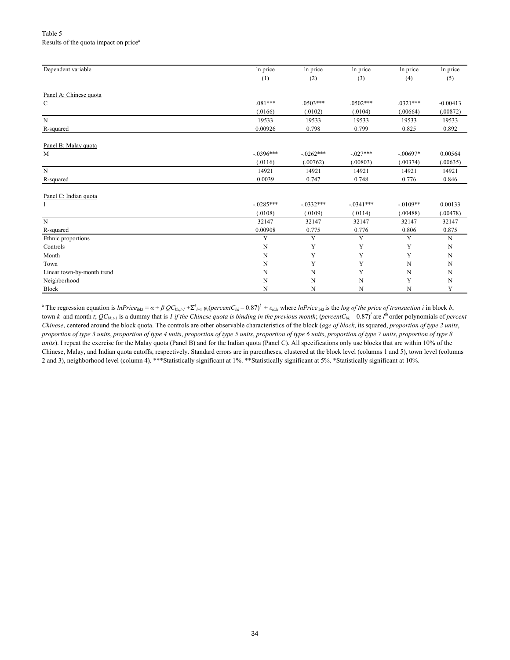#### Table 5 Results of the quota impact on price<sup>a</sup>

| Dependent variable         | In price    | In price    | In price     | In price    | In price    |
|----------------------------|-------------|-------------|--------------|-------------|-------------|
|                            | (1)         | (2)         | (3)          | (4)         | (5)         |
|                            |             |             |              |             |             |
| Panel A: Chinese quota     |             |             |              |             |             |
| $\mathbf C$                | $.081***$   | $.0503***$  | $.0502***$   | $.0321***$  | $-0.00413$  |
|                            | (.0166)     | (.0102)     | (.0104)      | (.00664)    | (.00872)    |
| $\mathbf N$                | 19533       | 19533       | 19533        | 19533       | 19533       |
| R-squared                  | 0.00926     | 0.798       | 0.799        | 0.825       | 0.892       |
| Panel B: Malay quota       |             |             |              |             |             |
| M                          | $-.0396***$ | $-.0262***$ | $-.027***$   | $-.00697*$  | 0.00564     |
|                            | (.0116)     | (.00762)    | (.00803)     | (.00374)    | (.00635)    |
| $\mathbf N$                | 14921       | 14921       | 14921        | 14921       | 14921       |
| R-squared                  | 0.0039      | 0.747       | 0.748        | 0.776       | 0.846       |
| Panel C: Indian quota      |             |             |              |             |             |
| I                          | $-.0285***$ | $-.0332***$ | $-0.0341***$ | $-.0109**$  | 0.00133     |
|                            | (.0108)     | (.0109)     | (.0114)      | (.00488)    | (.00478)    |
| $\mathbf N$                | 32147       | 32147       | 32147        | 32147       | 32147       |
| R-squared                  | 0.00908     | 0.775       | 0.776        | 0.806       | 0.875       |
| Ethnic proportions         | Y           | Y           | $\mathbf Y$  | Y           | $\mathbf N$ |
| Controls                   | N           | Y           | Y            | Y           | $\mathbf N$ |
| Month                      | $\mathbf N$ | Y           | Y            | Y           | $\mathbf N$ |
| Town                       | N           | Y           | Y            | N           | ${\bf N}$   |
| Linear town-by-month trend | N           | $\mathbf N$ | $\mathbf Y$  | N           | N           |
| Neighborhood               | N           | $\mathbf N$ | N            | Y           | N           |
| Block                      | N           | $\mathbf N$ | N            | $\mathbf N$ | Y           |

<sup>a</sup> The regression equation is *InPrice<sub>ibkt</sub>* =  $\alpha + \beta Q C_{bk, t} + \sum_{i=1}^{4} \varphi_i (percent C_{bk} - 0.87)^{t} + \varepsilon_{ibkt}$  where *InPrice<sub>ibkt</sub>* is the *log of the price of transaction i* in block *b*, town *k* and month *t*;  $QC_{bk,t}$  is a dummy that is *1 if the Chinese quota is binding in the previous month; (<i>percentC<sub>bk</sub>* – 0.87)<sup>*l*</sup> are *l*<sup>th</sup> order polynomials of *percent Chinese*, centered around the block quota. The controls are other observable characteristics of the block (*age of block*, its squared, *proportion of type 2 units*, *proportion of type 3 units*, *proportion of type 4 units*, *proportion of type 5 units*, *proportion of type 6 units*, *proportion of type 7 units*, *proportion of type 8 units*). I repeat the exercise for the Malay quota (Panel B) and for the Indian quota (Panel C). All specifications only use blocks that are within 10% of the Chinese, Malay, and Indian quota cutoffs, respectively. Standard errors are in parentheses, clustered at the block level (columns 1 and 5), town level (columns 2 and 3), neighborhood level (column 4). \*\*\*Statistically significant at 1%. \*\*Statistically significant at 5%. \*Statistically significant at 10%.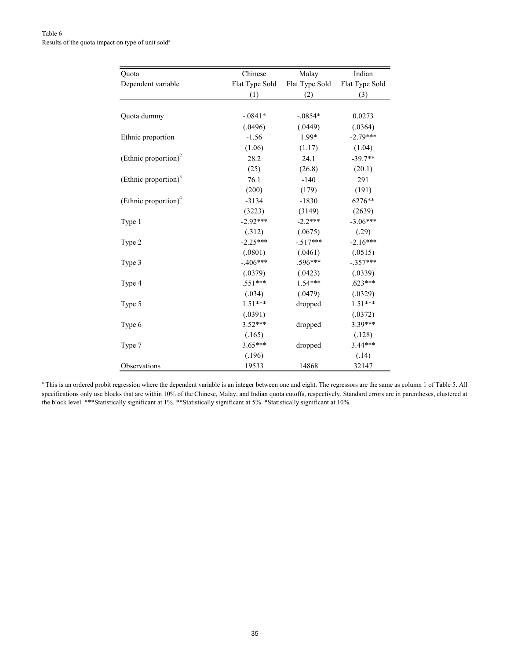| Quota                            | Chinese        | Malay          | Indian         |
|----------------------------------|----------------|----------------|----------------|
| Dependent variable               | Flat Type Sold | Flat Type Sold | Flat Type Sold |
|                                  | (1)            | (2)            | (3)            |
|                                  |                |                |                |
| Quota dummy                      | $-.0841*$      | $-.0854*$      | 0.0273         |
|                                  | (.0496)        | (.0449)        | (.0364)        |
| Ethnic proportion                | $-1.56$        | 1.99*          | $-2.79***$     |
|                                  | (1.06)         | (1.17)         | (1.04)         |
| (Ethnic proportion) <sup>2</sup> | 28.2           | 24.1           | $-39.7**$      |
|                                  | (25)           | (26.8)         | (20.1)         |
| (Ethnic proportion) <sup>3</sup> | 76.1           | $-140$         | 291            |
|                                  | (200)          | (179)          | (191)          |
| (Ethnic proportion) <sup>4</sup> | $-3134$        | $-1830$        | 6276**         |
|                                  | (3223)         | (3149)         | (2639)         |
| Type 1                           | $-2.92***$     | $-2.2***$      | $-3.06***$     |
|                                  | (.312)         | (.0675)        | (.29)          |
| Type 2                           | $-2.25***$     | $-517***$      | $-2.16***$     |
|                                  | (.0801)        | (.0461)        | (.0515)        |
| Type 3                           | $-.406***$     | .596***        | $-.357***$     |
|                                  | (.0379)        | (.0423)        | (.0339)        |
| Type 4                           | $.551***$      | $1.54***$      | $.623***$      |
|                                  | (.034)         | (.0479)        | (.0329)        |
| Type 5                           | $1.51***$      | dropped        | $1.51***$      |
|                                  | (.0391)        |                | (.0372)        |
| Type 6                           | $3.52***$      | dropped        | 3.39***        |
|                                  | (.165)         |                | (.128)         |
| Type 7                           | $3.65***$      | dropped        | $3.44***$      |
|                                  | (.196)         |                | (.14)          |
| Observations                     | 19533          | 14868          | 32147          |

<sup>a</sup> This is an ordered probit regression where the dependent variable is an integer between one and eight. The regressors are the same as column 1 of Table 5. All specifications only use blocks that are within 10% of the Chinese, Malay, and Indian quota cutoffs, respectively. Standard errors are in parentheses, clustered at the block level. \*\*\*Statistically significant at 1%. \*\*Statistically significant at 5%. \*Statistically significant at 10%.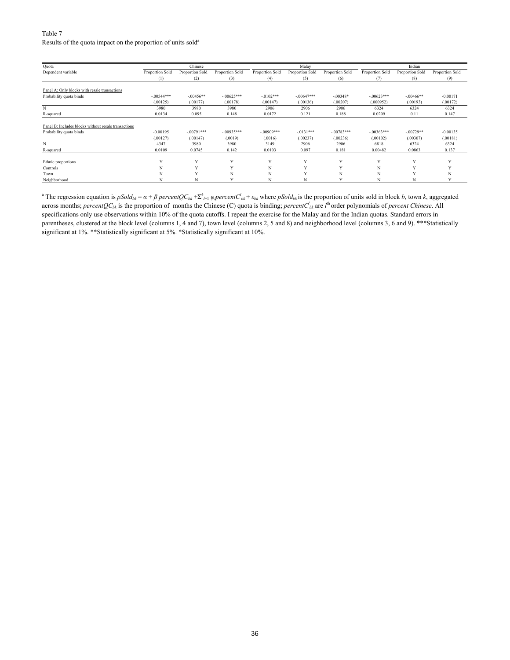#### Table 7 Results of the quota impact on the proportion of units sold<sup>a</sup>

| Quota                                                |                 | Chinese         |                 |                 | Malay           |                 |                 | Indian          |                 |
|------------------------------------------------------|-----------------|-----------------|-----------------|-----------------|-----------------|-----------------|-----------------|-----------------|-----------------|
| Dependent variable                                   | Proportion Sold | Proportion Sold | Proportion Sold | Proportion Sold | Proportion Sold | Proportion Sold | Proportion Sold | Proportion Sold | Proportion Sold |
|                                                      | (1)             | (2)             | (3)             | (4)             | (5)             | (6)             | (7)             | (8)             | (9)             |
| Panel A: Only blocks with resale transactions        |                 |                 |                 |                 |                 |                 |                 |                 |                 |
| Probability quota binds                              | $-00544***$     | $-.00456**$     | $-.00625***$    | $-0102***$      | $-00647***$     | $-.00348*$      | $-0.0623***$    | $-.00466**$     | $-0.00171$      |
|                                                      | (.00125)        | (.00177)        | (.00178)        | (.00147)        | (.00136)        | (.00207)        | (.000952)       | (.00193)        | (.00172)        |
| N                                                    | 3980            | 3980            | 3980            | 2906            | 2906            | 2906            | 6324            | 6324            | 6324            |
| R-squared                                            | 0.0134          | 0.095           | 0.148           | 0.0172          | 0.121           | 0.188           | 0.0209          | 0.11            | 0.147           |
| Panel B: Includes blocks without resale transactions |                 |                 |                 |                 |                 |                 |                 |                 |                 |
| Probability quota binds                              | $-0.00195$      | $-00791***$     | $-.00935***$    | $-00909***$     | $-.0131***$     | $-.00783***$    | $-0.0363***$    | $-00729**$      | $-0.00135$      |
|                                                      | (.00127)        | (.00147)        | (.0019)         | (.0016)         | (.00237)        | (.00236)        | (.00102)        | (.00307)        | (.00181)        |
| N                                                    | 4347            | 3980            | 3980            | 3149            | 2906            | 2906            | 6818            | 6324            | 6324            |
| R-squared                                            | 0.0109          | 0.0745          | 0.142           | 0.0103          | 0.097           | 0.181           | 0.00482         | 0.0863          | 0.137           |
| Ethnic proportions                                   |                 | $\mathbf{v}$    | Y               | v               | $\mathbf{v}$    | $\mathbf{v}$    | $\mathbf{v}$    | $\mathbf{v}$    |                 |
| Controls                                             |                 |                 |                 | N               | $\mathbf{x}$    |                 | N               |                 |                 |
| Town                                                 |                 |                 | N               | N               | X7              | N               | N               |                 |                 |
| Neighborhood                                         |                 | N               | $\mathbf{v}$    | N               | N               | v               | N               | N               |                 |

<sup>a</sup> The regression equation is  $pSold_{bk} = \alpha + \beta percent QC_{bk} + \sum_{i=1}^4 \varphi percent C_{bk} + \varepsilon_{bk}$  where  $pSold_{bk}$  is the proportion of units sold in block b, town k, aggregated across months; *percentQC<sub>bk</sub>* is the proportion of months the Chinese (C) quota is binding; *percentC*<sub>bk</sub> are *l*<sup>th</sup> order polynomials of *percent Chinese*. All specifications only use observations within 10% of the quota cutoffs. I repeat the exercise for the Malay and for the Indian quotas. Standard errors in parentheses, clustered at the block level (columns 1, 4 and 7), town level (columns 2, 5 and 8) and neighborhood level (columns 3, 6 and 9). \*\*\*Statistically significant at 1%. \*\*Statistically significant at 5%. \*Statistically significant at 10%.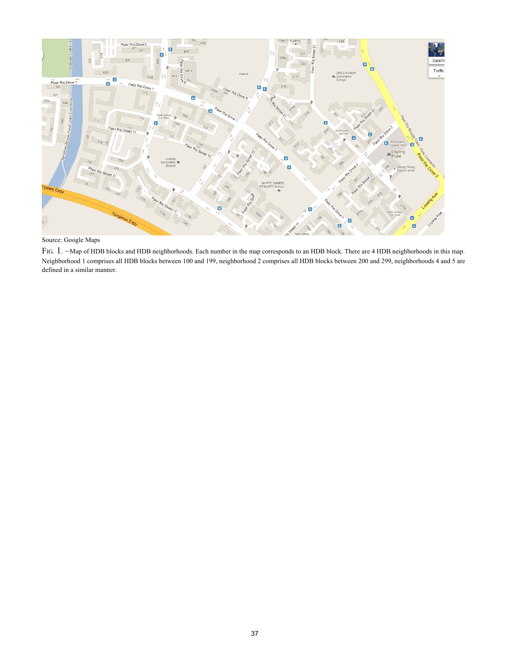

Source: Google Maps

FIG. 1. –Map of HDB blocks and HDB neighborhoods. Each number in the map corresponds to an HDB block. There are 4 HDB neighborhoods in this map. Neighborhood 1 comprises all HDB blocks between 100 and 199, neighborhood 2 comprises all HDB blocks between 200 and 299, neighborhoods 4 and 5 are defined in a similar manner.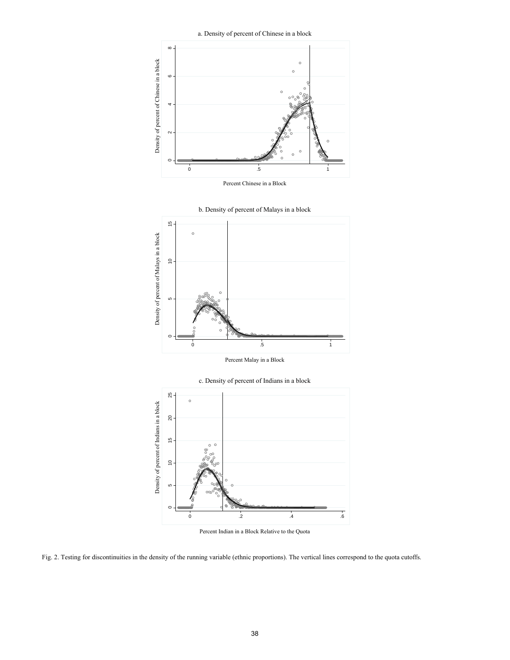a. Density of percent of Chinese in a block



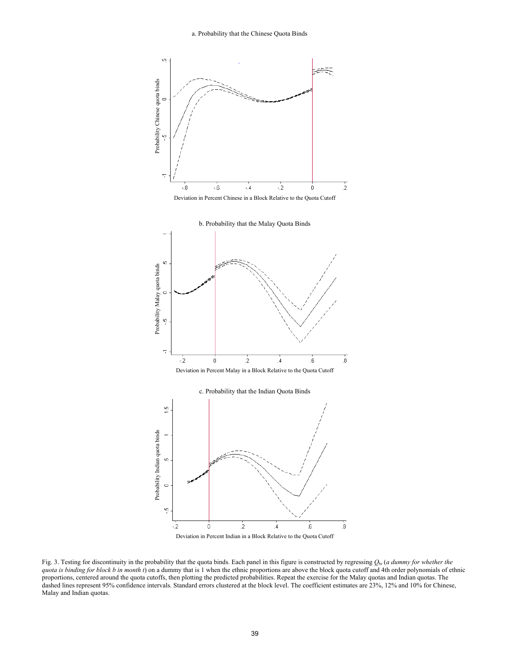









Fig. 3. Testing for discontinuity in the probability that the quota binds. Each panel in this figure is constructed by regressing *Q*b*<sup>t</sup>* (*a dummy for whether the quota is binding for block b in month t*) on a dummy that is 1 when the ethnic proportions are above the block quota cutoff and 4th order polynomials of ethnic proportions, centered around the quota cutoffs, then plotting the predicted probabilities. Repeat the exercise for the Malay quotas and Indian quotas. The dashed lines represent 95% confidence intervals. Standard errors clustered at the block level. The coefficient estimates are 23%, 12% and 10% for Chinese, Malay and Indian quotas.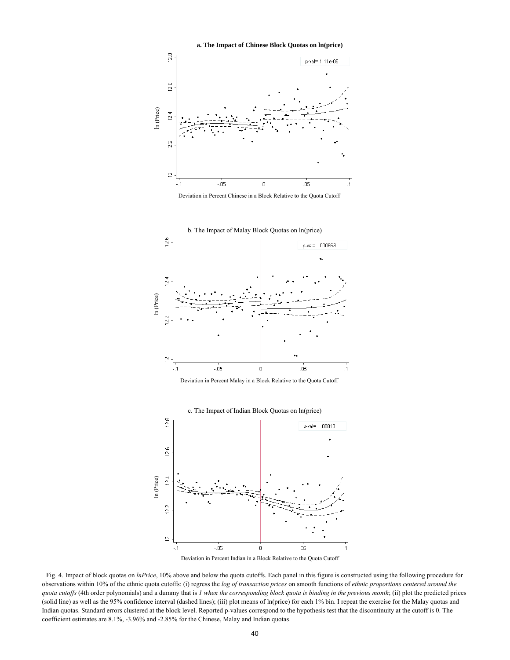**a. The Impact of Chinese Block Quotas on ln(price)** 













 Fig. 4. Impact of block quotas on *lnPrice*, 10% above and below the quota cutoffs. Each panel in this figure is constructed using the following procedure for observations within 10% of the ethnic quota cutoffs: (i) regress the *log of transaction prices* on smooth functions of *ethnic proportions centered around the quota cutoffs* (4th order polynomials) and a dummy that is *1 when the corresponding block quota is binding in the previous month*; (ii) plot the predicted prices (solid line) as well as the 95% confidence interval (dashed lines); (iii) plot means of ln(price) for each 1% bin. I repeat the exercise for the Malay quotas and Indian quotas. Standard errors clustered at the block level. Reported p-values correspond to the hypothesis test that the discontinuity at the cutoff is 0. The coefficient estimates are 8.1%, -3.96% and -2.85% for the Chinese, Malay and Indian quotas.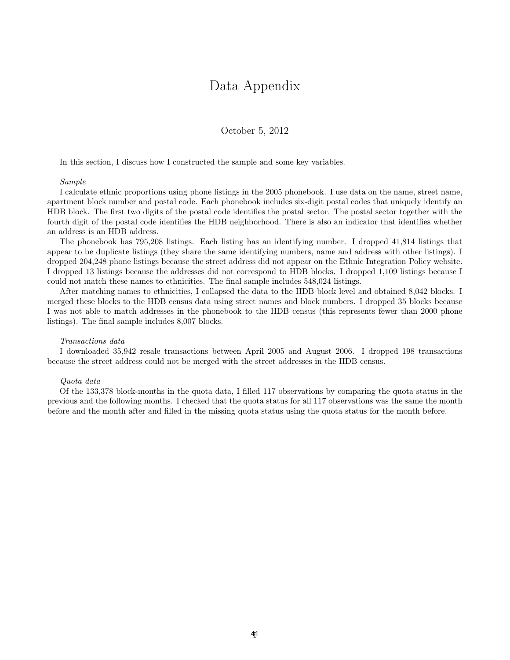### Data Appendix

October 5, 2012

In this section, I discuss how I constructed the sample and some key variables.

#### Sample

I calculate ethnic proportions using phone listings in the 2005 phonebook. I use data on the name, street name, apartment block number and postal code. Each phonebook includes six-digit postal codes that uniquely identify an HDB block. The first two digits of the postal code identifies the postal sector. The postal sector together with the fourth digit of the postal code identifies the HDB neighborhood. There is also an indicator that identifies whether an address is an HDB address.

The phonebook has 795,208 listings. Each listing has an identifying number. I dropped 41,814 listings that appear to be duplicate listings (they share the same identifying numbers, name and address with other listings). I dropped 204,248 phone listings because the street address did not appear on the Ethnic Integration Policy website. I dropped 13 listings because the addresses did not correspond to HDB blocks. I dropped 1,109 listings because I could not match these names to ethnicities. The final sample includes 548,024 listings.

After matching names to ethnicities, I collapsed the data to the HDB block level and obtained 8,042 blocks. I merged these blocks to the HDB census data using street names and block numbers. I dropped 35 blocks because I was not able to match addresses in the phonebook to the HDB census (this represents fewer than 2000 phone listings). The final sample includes 8,007 blocks.

#### Transactions data

I downloaded 35,942 resale transactions between April 2005 and August 2006. I dropped 198 transactions because the street address could not be merged with the street addresses in the HDB census.

#### Quota data

Of the 133,378 block-months in the quota data, I filled 117 observations by comparing the quota status in the previous and the following months. I checked that the quota status for all 117 observations was the same the month before and the month after and filled in the missing quota status using the quota status for the month before.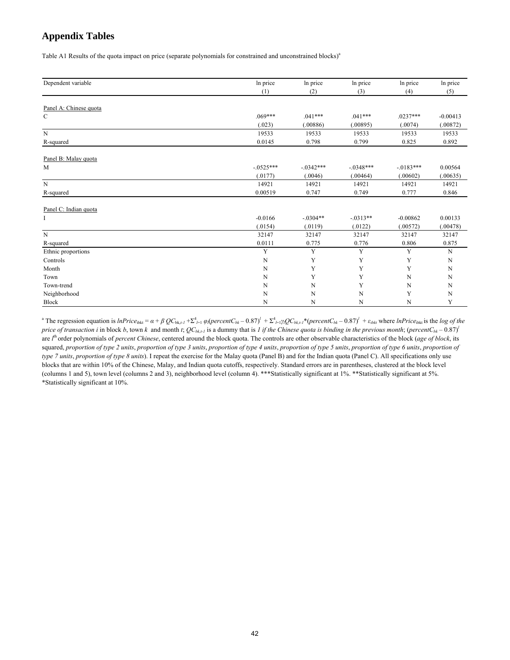### **Appendix Tables**

Table A1 Results of the quota impact on price (separate polynomials for constrained and unconstrained blocks)<sup>a</sup>

| Dependent variable     | In price    | In price    | In price    | In price    | In price    |
|------------------------|-------------|-------------|-------------|-------------|-------------|
|                        | (1)         | (2)         | (3)         | (4)         | (5)         |
|                        |             |             |             |             |             |
| Panel A: Chinese quota |             |             |             |             |             |
| $\mathbf C$            | $.069***$   | $.041***$   | $.041***$   | $.0237***$  | $-0.00413$  |
|                        | (.023)      | (.00886)    | (.00895)    | (.0074)     | (.00872)    |
| $\overline{N}$         | 19533       | 19533       | 19533       | 19533       | 19533       |
| R-squared              | 0.0145      | 0.798       | 0.799       | 0.825       | 0.892       |
| Panel B: Malay quota   |             |             |             |             |             |
| M                      | $-.0525***$ | $-0.342***$ | $-.0348***$ | $-.0183***$ | 0.00564     |
|                        | (.0177)     | (.0046)     | (.00464)    | (.00602)    | (.00635)    |
| $\mathbf N$            | 14921       | 14921       | 14921       | 14921       | 14921       |
| R-squared              | 0.00519     | 0.747       | 0.749       | 0.777       | 0.846       |
| Panel C: Indian quota  |             |             |             |             |             |
| Ι                      | $-0.0166$   | $-.0304**$  | $-0.0313**$ | $-0.00862$  | 0.00133     |
|                        | (.0154)     | (.0119)     | (.0122)     | (.00572)    | (.00478)    |
| $\mathbf N$            | 32147       | 32147       | 32147       | 32147       | 32147       |
| R-squared              | 0.0111      | 0.775       | 0.776       | 0.806       | 0.875       |
| Ethnic proportions     | Y           | Y           | Y           | Y           | N           |
| Controls               | $\mathbf N$ | Y           | Y           | Y           | ${\bf N}$   |
| Month                  | N           | Y           | Y           | Y           | ${\bf N}$   |
| Town                   | N           | Y           | Y           | N           | N           |
| Town-trend             | N           | $\mathbf N$ | Y           | N           | $\mathbf N$ |
| Neighborhood           | N           | $\mathbf N$ | $\mathbf N$ | Y           | N           |
| Block                  | N           | N           | N           | N           | Y           |

<sup>a</sup> The regression equation is lnPrice<sub>ibkt</sub> =  $\alpha + \beta Q C_{bk, l} + \sum_{l=1}^4 \varphi_l (percent C_{bk} - 0.87)^l + \sum_{l=1}^4 \gamma_l Q C_{bk, l} + (percent C_{bk} - 0.87)^l + \varepsilon_{ibk}$  where lnPrice<sub>ibkt</sub> is the log of the *price of transaction i* in block *b*, town *k* and month *t*;  $QC_{bk,t}$  is a dummy that is *1 if the Chinese quota is binding in the previous month*; (*percentC<sub>bk</sub>* – 0.87)<sup>*l*</sup> are *l*<sup>th</sup> order polynomials of *percent Chinese*, centered around the block quota. The controls are other observable characteristics of the block (*age of block*, its squared, *proportion of type 2 units*, *proportion of type 3 units*, *proportion of type 4 units*, *proportion of type 5 units*, *proportion of type 6 units*, *proportion of type 7 units*, *proportion of type 8 units*). I repeat the exercise for the Malay quota (Panel B) and for the Indian quota (Panel C). All specifications only use blocks that are within 10% of the Chinese, Malay, and Indian quota cutoffs, respectively. Standard errors are in parentheses, clustered at the block level (columns 1 and 5), town level (columns 2 and 3), neighborhood level (column 4). \*\*\*Statistically significant at 1%. \*\*Statistically significant at 5%. \*Statistically significant at 10%.